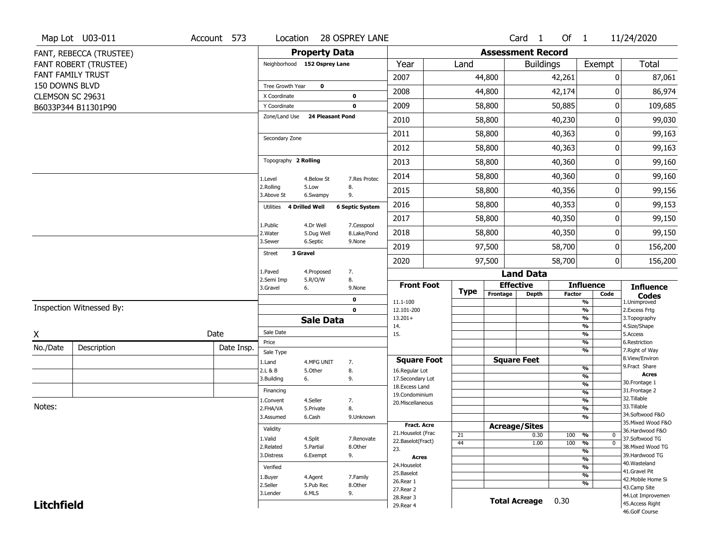|                   | Map Lot U03-011              | Account 573 | Location                      |                         | 28 OSPREY LANE         |                                    |             |          | Card <sub>1</sub>        | Of $1$        |                                | 11/24/2020                          |
|-------------------|------------------------------|-------------|-------------------------------|-------------------------|------------------------|------------------------------------|-------------|----------|--------------------------|---------------|--------------------------------|-------------------------------------|
|                   | FANT, REBECCA (TRUSTEE)      |             |                               | <b>Property Data</b>    |                        |                                    |             |          | <b>Assessment Record</b> |               |                                |                                     |
|                   | <b>FANT ROBERT (TRUSTEE)</b> |             | Neighborhood 152 Osprey Lane  |                         |                        | Year                               | Land        |          | <b>Buildings</b>         |               | Exempt                         | Total                               |
|                   | FANT FAMILY TRUST            |             |                               |                         |                        | 2007                               |             | 44,800   |                          | 42,261        | 0                              | 87,061                              |
| 150 DOWNS BLVD    |                              |             | Tree Growth Year              | $\mathbf 0$             |                        | 2008                               |             | 44,800   |                          | 42,174        | 0                              | 86,974                              |
| CLEMSON SC 29631  |                              |             | X Coordinate                  |                         | 0                      |                                    |             |          |                          |               |                                |                                     |
|                   | B6033P344 B11301P90          |             | Y Coordinate<br>Zone/Land Use | <b>24 Pleasant Pond</b> | $\mathbf 0$            | 2009                               |             | 58,800   |                          | 50,885        | 0                              | 109,685                             |
|                   |                              |             |                               |                         |                        | 2010                               |             | 58,800   |                          | 40,230        | 0                              | 99,030                              |
|                   |                              |             | Secondary Zone                |                         |                        | 2011                               |             | 58,800   |                          | 40,363        | 0                              | 99,163                              |
|                   |                              |             |                               |                         |                        | 2012                               |             | 58,800   |                          | 40,363        | 0                              | 99,163                              |
|                   |                              |             | Topography 2 Rolling          |                         |                        | 2013                               |             | 58,800   |                          | 40,360        | 0                              | 99,160                              |
|                   |                              |             | 1.Level                       | 4.Below St              | 7.Res Protec           | 2014                               |             | 58,800   |                          | 40,360        | 0                              | 99,160                              |
|                   |                              |             | 2.Rolling<br>3.Above St       | 5.Low<br>6.Swampy       | 8.<br>9.               | 2015                               |             | 58,800   |                          | 40,356        | 0                              | 99,156                              |
|                   |                              |             | Utilities                     | 4 Drilled Well          | <b>6 Septic System</b> | 2016                               |             | 58,800   |                          | 40,353        | 0                              | 99,153                              |
|                   |                              |             | 1.Public                      | 4.Dr Well               | 7.Cesspool             | 2017                               |             | 58,800   |                          | 40,350        | 0                              | 99,150                              |
|                   |                              |             | 2. Water                      | 5.Dug Well              | 8.Lake/Pond            | 2018                               |             | 58,800   |                          | 40,350        | 0                              | 99,150                              |
|                   |                              |             | 3.Sewer<br><b>Street</b>      | 6.Septic<br>3 Gravel    | 9.None                 | 2019                               |             | 97,500   |                          | 58,700        | 0                              | 156,200                             |
|                   |                              |             |                               |                         |                        | 2020                               |             | 97,500   |                          | 58,700        | $\overline{0}$                 | 156,200                             |
|                   |                              |             | 1.Paved<br>2.Semi Imp         | 4.Proposed<br>5.R/O/W   | 7.<br>8.               |                                    |             |          | <b>Land Data</b>         |               |                                |                                     |
|                   |                              |             | 3.Gravel                      | 6.                      | 9.None                 | <b>Front Foot</b>                  | <b>Type</b> |          | <b>Effective</b>         |               | <b>Influence</b>               | <b>Influence</b>                    |
|                   |                              |             |                               |                         | 0                      | 11.1-100                           |             | Frontage | <b>Depth</b>             | <b>Factor</b> | Code<br>%                      | <b>Codes</b><br>1.Unimproved        |
|                   | Inspection Witnessed By:     |             |                               |                         | $\mathbf 0$            | 12.101-200                         |             |          |                          |               | $\frac{9}{6}$                  | 2. Excess Frtg                      |
|                   |                              |             |                               | <b>Sale Data</b>        |                        | $13.201+$<br>14.                   |             |          |                          |               | %<br>%                         | 3. Topography<br>4.Size/Shape       |
| X                 |                              | Date        | Sale Date                     |                         |                        | 15.                                |             |          |                          |               | $\frac{9}{6}$                  | 5.Access                            |
| No./Date          | Description                  | Date Insp.  | Price<br>Sale Type            |                         |                        |                                    |             |          |                          |               | %<br>%                         | 6.Restriction<br>7. Right of Way    |
|                   |                              |             | 1.Land                        | 4.MFG UNIT              | 7.                     | <b>Square Foot</b>                 |             |          | <b>Square Feet</b>       |               |                                | 8.View/Environ                      |
|                   |                              |             | 2.L & B                       | 5.Other                 | 8.                     | 16.Regular Lot                     |             |          |                          |               | $\frac{9}{6}$                  | 9. Fract Share<br><b>Acres</b>      |
|                   |                              |             | 3.Building                    | 6.                      | 9.                     | 17.Secondary Lot<br>18.Excess Land |             |          |                          |               | $\frac{9}{6}$<br>$\frac{9}{6}$ | 30.Frontage 1                       |
|                   |                              |             | Financing                     |                         |                        | 19.Condominium                     |             |          |                          |               | $\frac{9}{6}$                  | 31. Frontage 2                      |
| Notes:            |                              |             | 1.Convent                     | 4.Seller                | 7.                     | 20.Miscellaneous                   |             |          |                          |               | $\frac{9}{6}$                  | 32.Tillable<br>33.Tillable          |
|                   |                              |             | 2.FHA/VA<br>3.Assumed         | 5.Private<br>6.Cash     | 8.<br>9.Unknown        |                                    |             |          |                          |               | $\frac{9}{6}$<br>%             | 34.Softwood F&O                     |
|                   |                              |             |                               |                         |                        | <b>Fract. Acre</b>                 |             |          | <b>Acreage/Sites</b>     |               |                                | 35. Mixed Wood F&O                  |
|                   |                              |             | Validity                      |                         |                        | 21. Houselot (Frac                 | 21          |          | 0.30                     | 100           | %<br>0                         | 36.Hardwood F&O                     |
|                   |                              |             | 1.Valid                       | 4.Split                 | 7.Renovate             | 22.Baselot(Fract)                  | 44          |          | 1.00                     | 100           | $\frac{9}{6}$<br>$\mathbf 0$   | 37.Softwood TG                      |
|                   |                              |             | 2.Related<br>3.Distress       | 5.Partial               | 8.Other                | 23.                                |             |          |                          |               | $\frac{9}{6}$                  | 38. Mixed Wood TG<br>39.Hardwood TG |
|                   |                              |             |                               | 6.Exempt                | 9.                     | <b>Acres</b>                       |             |          |                          |               | $\frac{9}{6}$                  | 40. Wasteland                       |
|                   |                              |             | Verified                      |                         |                        | 24. Houselot<br>25.Baselot         |             |          |                          |               | $\frac{9}{6}$                  | 41.Gravel Pit                       |
|                   |                              |             | 1.Buyer                       | 4.Agent                 | 7.Family               | 26.Rear 1                          |             |          |                          |               | $\frac{9}{6}$<br>%             | 42. Mobile Home Si                  |
|                   |                              |             | 2.Seller                      | 5.Pub Rec               | 8.Other                | 27.Rear 2                          |             |          |                          |               |                                | 43.Camp Site                        |
|                   |                              |             | 3.Lender                      | 6.MLS                   | 9.                     | 28. Rear 3                         |             |          | <b>Total Acreage</b>     | 0.30          |                                | 44.Lot Improvemen                   |
| <b>Litchfield</b> |                              |             |                               |                         |                        | 29. Rear 4                         |             |          |                          |               |                                | 45.Access Right<br>46.Golf Course   |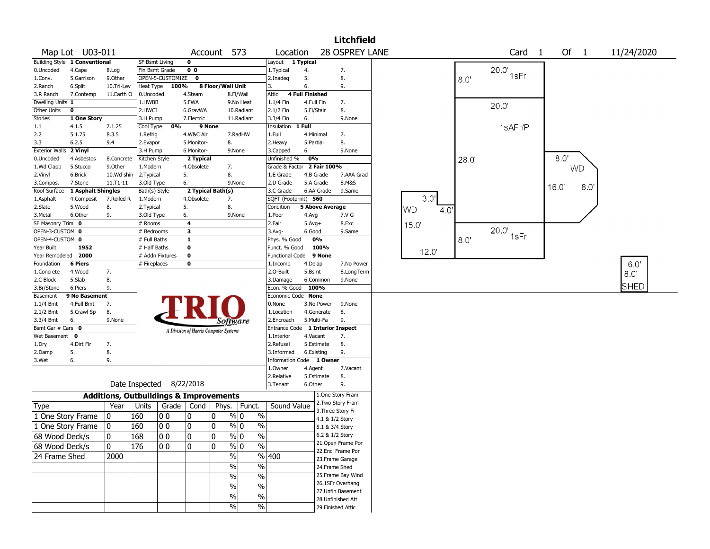|                          |                               |                       |                                                   |              |                                       |        |                   |                        |                            |                          | <b>Litchfield</b>                       |    |       |      |                   |              |            |
|--------------------------|-------------------------------|-----------------------|---------------------------------------------------|--------------|---------------------------------------|--------|-------------------|------------------------|----------------------------|--------------------------|-----------------------------------------|----|-------|------|-------------------|--------------|------------|
|                          | Map Lot U03-011               |                       |                                                   |              |                                       |        | Account 573       |                        | Location                   |                          | 28 OSPREY LANE                          |    |       |      | Card <sub>1</sub> | Of 1         | 11/24/2020 |
|                          | Building Style 1 Conventional |                       | SF Bsmt Living                                    |              | $\mathbf 0$                           |        |                   | Layout                 | 1 Typical                  |                          |                                         |    |       |      |                   |              |            |
| 0.Uncoded                | 4.Cape                        | 8.Log                 | Fin Bsmt Grade                                    |              | 0 <sub>0</sub>                        |        |                   | 1. Typical             | 4.                         |                          | 7.                                      |    |       |      | 20.0              |              |            |
| 1.Conv.                  | 5.Garrison                    | 9.Other               | OPEN-5-CUSTOMIZE 0                                |              |                                       |        |                   | 2.Inadeg               | 5.                         |                          | 8.                                      |    |       | 8.0  | 1sFr              |              |            |
| 2.Ranch                  | 6.Split                       | 10.Tri-Lev            | Heat Type                                         | 100%         |                                       |        | 8 Floor/Wall Unit | 3.                     | 6.                         |                          | 9.                                      |    |       |      |                   |              |            |
| 3.R Ranch                | 7.Contemp                     | 11.Earth O            | 0.Uncoded                                         |              | 4.Steam                               |        | 8.Fl/Wall         | Attic                  | <b>4 Full Finished</b>     |                          |                                         |    |       |      |                   |              |            |
| Dwelling Units 1         |                               |                       | 1.HWBB                                            |              | 5.FWA                                 |        | 9.No Heat         | 1.1/4 Fin              |                            | 4.Full Fin               | 7.                                      |    |       |      | 20.0              |              |            |
| Other Units              | $\mathbf 0$                   |                       | 2.HWCI                                            |              | 6.GravWA                              |        | 10.Radiant        | 2.1/2 Fin              |                            | 5.Fl/Stair               | 8.                                      |    |       |      |                   |              |            |
| Stories                  | 1 One Story                   |                       | 3.H Pump                                          |              | 7.Electric                            |        | 11.Radiant        | 3.3/4 Fin              | 6.                         |                          | 9.None                                  |    |       |      |                   |              |            |
| 1.1                      | 4.1.5                         | 7.1.25                | Cool Type                                         | 0%           |                                       | 9 None |                   | Insulation             | 1 Full                     |                          |                                         |    |       |      | 1sAFr/P           |              |            |
| 2.2                      | 5.1.75                        | 8.3.5                 | 1.Refrig                                          |              | 4.W&C Air                             |        | 7.RadHW           | 1.Full                 |                            | 4.Minimal                | 7.                                      |    |       |      |                   |              |            |
| 3.3                      | 6.2.5                         | 9.4                   | 2.Evapor                                          |              | 5.Monitor-                            |        | 8.                | 2.Heavy                |                            | 5.Partial                | 8.                                      |    |       |      |                   |              |            |
| <b>Exterior Walls</b>    | 2 Vinyl                       |                       | 3.H Pump                                          |              | 6.Monitor-                            |        | 9.None            | 3.Capped               | 6.                         |                          | 9.None                                  |    |       |      |                   | 80'          |            |
| 0.Uncoded                | 4.Asbestos<br>5.Stucco        | 8.Concrete<br>9.Other | Kitchen Style<br>1.Modern                         |              | 2 Typical<br>4.Obsolete               |        | 7.                | Unfinished %           | Grade & Factor 2 Fair 100% | 0%                       |                                         |    |       | 28.0 |                   |              |            |
| 1.Wd Clapb<br>2.Vinyl    | 6.Brick                       | 10.Wd shin            | 2. Typical                                        |              | 5.                                    |        | 8.                | 1.E Grade              |                            | 4.B Grade                | 7.AAA Grad                              |    |       |      |                   | <b>WD</b>    |            |
| 3.Compos.                | 7.Stone                       | $11.71 - 11$          | 3.Old Type                                        |              | 6.                                    |        | 9.None            | 2.D Grade              |                            | 5.A Grade                | 8.M&S                                   |    |       |      |                   |              |            |
| Roof Surface             | 1 Asphalt Shingles            |                       | Bath(s) Style                                     |              | 2 Typical Bath(s)                     |        |                   | 3.C Grade              |                            | 6.AA Grade               | 9.Same                                  |    |       |      |                   | 16.0'<br>8.0 |            |
| 1.Asphalt                | 4.Composit                    | 7.Rolled R            | 1.Modern                                          |              | 4.Obsolete                            |        | 7.                |                        | SQFT (Footprint) 560       |                          |                                         |    | 3.0'  |      |                   |              |            |
| 2.Slate                  | 5.Wood                        | 8.                    | 2.Typical                                         |              | 5.                                    |        | 8.                | Condition              |                            | <b>5 Above Average</b>   |                                         |    |       |      |                   |              |            |
| 3.Metal                  | 6.Other                       | 9.                    | 3.Old Type                                        |              | 6.                                    |        | 9.None            | 1.Poor                 |                            | 4.Avg                    | 7.V G                                   | WD | 4.0'  |      |                   |              |            |
| SF Masonry Trim 0        |                               |                       | # Rooms                                           |              | 4                                     |        |                   | 2.Fair                 |                            | $5.Avg+$                 | 8.Exc                                   |    | 15.0' |      |                   |              |            |
| OPEN-3-CUSTOM 0          |                               |                       | # Bedrooms                                        |              | $\overline{\mathbf{3}}$               |        |                   | $3.$ Avg-              |                            | 6.Good                   | 9.Same                                  |    |       |      | 20.0              |              |            |
| OPEN-4-CUSTOM 0          |                               |                       | # Full Baths                                      |              | $\mathbf{1}$                          |        |                   | Phys. % Good           |                            | 0%                       |                                         |    |       | 8.0  | 1sFr              |              |            |
| Year Built               | 1952                          |                       | # Half Baths                                      |              | $\mathbf 0$                           |        |                   | Funct. % Good          |                            | 100%                     |                                         |    | 12.0  |      |                   |              |            |
| Year Remodeled 2000      |                               |                       | # Addn Fixtures                                   |              | $\mathbf 0$                           |        |                   | <b>Functional Code</b> |                            | 9 None                   |                                         |    |       |      |                   |              |            |
| Foundation               | <b>6 Piers</b>                |                       | # Fireplaces                                      |              | $\bf{0}$                              |        |                   | 1.Incomp               |                            | 4.Delap                  | 7.No Power                              |    |       |      |                   |              | 6.0'       |
| 1.Concrete               | 4.Wood                        | 7.                    |                                                   |              |                                       |        |                   | 2.O-Built              |                            | 5.Bsmt                   | 8.LongTerm                              |    |       |      |                   |              | 8.0"       |
| 2.C Block                | 5.Slab                        | 8.                    |                                                   |              |                                       |        |                   | 3.Damage               |                            | 6.Common                 | 9.None                                  |    |       |      |                   |              | SHED       |
| 3.Br/Stone               | 6.Piers                       | 9.                    |                                                   |              |                                       |        |                   | Econ. % Good           |                            | 100%                     |                                         |    |       |      |                   |              |            |
| Basement                 | 9 No Basement                 |                       |                                                   |              |                                       |        |                   |                        | Economic Code None         |                          |                                         |    |       |      |                   |              |            |
| $1.1/4$ Bmt              | 4.Full Bmt<br>5.Crawl Sp      | 7.<br>8.              |                                                   |              |                                       |        |                   | 0.None<br>1.Location   |                            | 3.No Power<br>4.Generate | 9.None<br>8.                            |    |       |      |                   |              |            |
| $2.1/2$ Bmt<br>3.3/4 Bmt | 6.                            | 9.None                |                                                   |              |                                       |        |                   | 2.Encroach             |                            | 5.Multi-Fa               | 9.                                      |    |       |      |                   |              |            |
| Bsmt Gar # Cars 0        |                               |                       |                                                   |              |                                       |        | Software          | Entrance Code          |                            |                          | 1 Interior Inspect                      |    |       |      |                   |              |            |
| Wet Basement 0           |                               |                       |                                                   |              | A Division of Harris Computer Systems |        |                   | 1.Interior             |                            | 4.Vacant                 | 7.                                      |    |       |      |                   |              |            |
| 1.Dry                    | 4.Dirt Flr                    | 7.                    |                                                   |              |                                       |        |                   | 2.Refusal              |                            | 5.Estimate               | 8.                                      |    |       |      |                   |              |            |
| 2.Damp                   | 5.                            | 8.                    |                                                   |              |                                       |        |                   | 3.Informed             |                            | 6.Existing               | 9.                                      |    |       |      |                   |              |            |
| 3.Wet                    | 6.                            | 9.                    |                                                   |              |                                       |        |                   |                        | Information Code 1 Owner   |                          |                                         |    |       |      |                   |              |            |
|                          |                               |                       |                                                   |              |                                       |        |                   | 1.0wner                |                            | 4.Agent                  | 7.Vacant                                |    |       |      |                   |              |            |
|                          |                               |                       |                                                   |              |                                       |        |                   | 2.Relative             |                            | 5.Estimate               | 8.                                      |    |       |      |                   |              |            |
|                          |                               |                       | Date Inspected 8/22/2018                          |              |                                       |        |                   | 3.Tenant               |                            | 6.Other                  | 9.                                      |    |       |      |                   |              |            |
|                          |                               |                       | <b>Additions, Outbuildings &amp; Improvements</b> |              |                                       |        |                   |                        |                            |                          | 1.One Story Fram                        |    |       |      |                   |              |            |
| Type                     |                               | Year                  | Units                                             | Grade        | Cond                                  | Phys.  | Funct.            |                        | Sound Value                |                          | 2. Two Story Fram                       |    |       |      |                   |              |            |
| 1 One Story Frame        |                               | 0                     | 160                                               | 00           | 0                                     | 0      | % 0               | $\%$                   |                            |                          | 3. Three Story Fr                       |    |       |      |                   |              |            |
|                          |                               |                       |                                                   |              |                                       |        |                   |                        |                            |                          | 4.1 & 1/2 Story                         |    |       |      |                   |              |            |
| 1 One Story Frame        |                               | 0                     | 160                                               | 00           | 0                                     | 10     | $\%$ 0            | $\frac{0}{0}$          |                            |                          | 5.1 & 3/4 Story                         |    |       |      |                   |              |            |
| 68 Wood Deck/s           |                               | 10                    | 168                                               | $ 00\rangle$ | 10                                    | 10     | % 0               | %                      |                            |                          | 6.2 & 1/2 Story                         |    |       |      |                   |              |            |
| 68 Wood Deck/s           |                               | 0                     | 176                                               | 00           | 0                                     | ۱o     | $\frac{9}{0}$     | $\sqrt{6}$             |                            |                          | 21. Open Frame Por<br>22.Encl Frame Por |    |       |      |                   |              |            |
| 24 Frame Shed            |                               | 2000                  |                                                   |              |                                       |        | $\%$              | %  400                 |                            |                          |                                         |    |       |      |                   |              |            |
|                          |                               |                       |                                                   |              |                                       |        | $\%$              | $\frac{9}{6}$          |                            |                          | 23. Frame Garage<br>24.Frame Shed       |    |       |      |                   |              |            |
|                          |                               |                       |                                                   |              |                                       |        |                   | $\sqrt{6}$             |                            |                          | 25. Frame Bay Wind                      |    |       |      |                   |              |            |
|                          |                               |                       |                                                   |              |                                       |        | $\%$              |                        |                            |                          | 26.1SFr Overhang                        |    |       |      |                   |              |            |
|                          |                               |                       |                                                   |              |                                       |        | $\%$              | $\%$                   |                            |                          | 27.Unfin Basement                       |    |       |      |                   |              |            |
|                          |                               |                       |                                                   |              |                                       |        | $\%$              | %                      |                            |                          | 28. Unfinished Att                      |    |       |      |                   |              |            |
|                          |                               |                       |                                                   |              |                                       |        | $\%$              | $\sqrt{20}$            |                            |                          | 29. Finished Attic                      |    |       |      |                   |              |            |
|                          |                               |                       |                                                   |              |                                       |        |                   |                        |                            |                          |                                         |    |       |      |                   |              |            |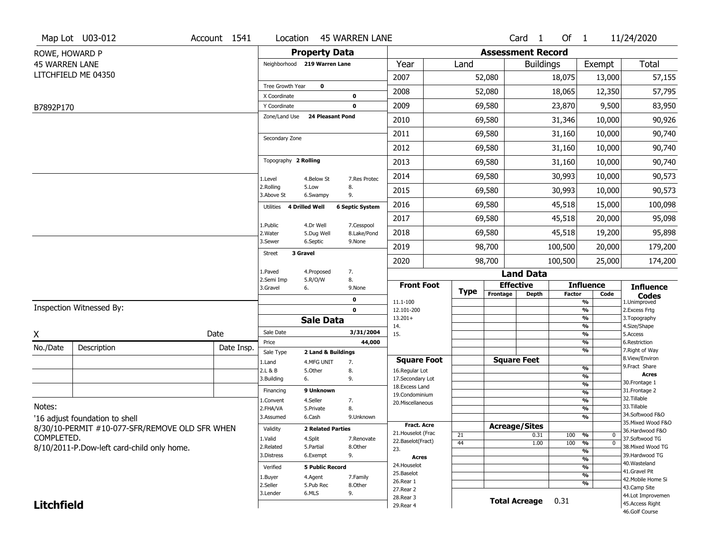|                                | Map Lot U03-012                                | Account 1541 | Location                      |                          | <b>45 WARREN LANE</b>  |                                          |             |                          | Card <sub>1</sub>    | Of $1$        |                          | 11/24/2020                         |
|--------------------------------|------------------------------------------------|--------------|-------------------------------|--------------------------|------------------------|------------------------------------------|-------------|--------------------------|----------------------|---------------|--------------------------|------------------------------------|
| ROWE, HOWARD P                 |                                                |              |                               | <b>Property Data</b>     |                        |                                          |             | <b>Assessment Record</b> |                      |               |                          |                                    |
| <b>45 WARREN LANE</b>          |                                                |              | Neighborhood 219 Warren Lane  |                          |                        | Year                                     | Land        |                          | <b>Buildings</b>     |               | Exempt                   | <b>Total</b>                       |
|                                | LITCHFIELD ME 04350                            |              |                               |                          |                        | 2007                                     |             | 52,080                   |                      | 18,075        | 13,000                   | 57,155                             |
|                                |                                                |              | Tree Growth Year              | $\mathbf 0$              |                        | 2008                                     |             | 52,080                   |                      | 18,065        | 12,350                   | 57,795                             |
|                                |                                                |              | X Coordinate<br>Y Coordinate  |                          | 0<br>0                 | 2009                                     |             | 69,580                   |                      | 23,870        | 9,500                    | 83,950                             |
| B7892P170                      |                                                |              | Zone/Land Use                 | <b>24 Pleasant Pond</b>  |                        |                                          |             |                          |                      |               |                          |                                    |
|                                |                                                |              |                               |                          |                        | 2010                                     |             | 69,580                   |                      | 31,346        | 10,000                   | 90,926                             |
|                                |                                                |              | Secondary Zone                |                          |                        | 2011                                     |             | 69,580                   |                      | 31,160        | 10,000                   | 90,740                             |
|                                |                                                |              |                               |                          |                        | 2012                                     |             | 69,580                   |                      | 31,160        | 10,000                   | 90,740                             |
|                                |                                                |              | Topography 2 Rolling          |                          |                        | 2013                                     |             | 69,580                   |                      | 31,160        | 10,000                   | 90,740                             |
|                                |                                                |              | 1.Level                       | 4.Below St               | 7.Res Protec           | 2014                                     |             | 69,580                   |                      | 30,993        | 10,000                   | 90,573                             |
|                                |                                                |              | 2.Rolling<br>3.Above St       | 5.Low<br>6.Swampy        | 8.<br>9.               | 2015                                     |             | 69,580                   |                      | 30,993        | 10,000                   | 90,573                             |
|                                |                                                |              | 4 Drilled Well<br>Utilities   |                          | <b>6 Septic System</b> | 2016                                     |             | 69,580                   |                      | 45,518        | 15,000                   | 100,098                            |
|                                |                                                |              | 1.Public                      | 4.Dr Well                | 7.Cesspool             | 2017                                     |             | 69,580                   |                      | 45,518        | 20,000                   | 95,098                             |
|                                |                                                |              | 2. Water                      | 5.Dug Well               | 8.Lake/Pond            | 2018                                     |             | 69,580                   |                      | 45,518        | 19,200                   | 95,898                             |
|                                |                                                |              | 3.Sewer<br>3 Gravel<br>Street | 6.Septic                 | 9.None                 | 2019                                     |             | 98,700                   |                      | 100,500       | 20,000                   | 179,200                            |
|                                |                                                |              |                               |                          |                        | 2020                                     |             | 98,700                   |                      | 100,500       | 25,000                   | 174,200                            |
|                                |                                                |              | 1.Paved                       | 4.Proposed               | 7.                     |                                          |             |                          | <b>Land Data</b>     |               |                          |                                    |
|                                |                                                |              | 2.Semi Imp<br>3.Gravel<br>6.  | 5.R/O/W                  | 8.<br>9.None           | <b>Front Foot</b>                        | <b>Type</b> |                          | <b>Effective</b>     |               | <b>Influence</b>         | <b>Influence</b>                   |
|                                |                                                |              |                               |                          | 0                      | 11.1-100                                 |             | Frontage                 | <b>Depth</b>         | <b>Factor</b> | Code<br>%                | <b>Codes</b><br>1.Unimproved       |
|                                | Inspection Witnessed By:                       |              |                               |                          | $\mathbf 0$            | 12.101-200                               |             |                          |                      |               | %                        | 2.Excess Frtg                      |
|                                |                                                |              |                               | <b>Sale Data</b>         |                        | $13.201+$<br>14.                         |             |                          |                      |               | %<br>$\frac{9}{6}$       | 3. Topography<br>4.Size/Shape      |
| X                              |                                                | Date         | Sale Date                     |                          | 3/31/2004              | 15.                                      |             |                          |                      |               | %                        | 5.Access                           |
| No./Date                       | Description                                    | Date Insp.   | Price<br>Sale Type            | 2 Land & Buildings       | 44,000                 |                                          |             |                          |                      |               | %<br>%                   | 6.Restriction<br>7. Right of Way   |
|                                |                                                |              | 1.Land                        | 4.MFG UNIT               | 7.                     | <b>Square Foot</b>                       |             |                          | <b>Square Feet</b>   |               |                          | 8.View/Environ                     |
|                                |                                                |              | 2.L & B                       | 5.Other                  | 8.                     | 16.Regular Lot                           |             |                          |                      |               | $\frac{9}{6}$            | 9.Fract Share<br><b>Acres</b>      |
|                                |                                                |              | 3.Building<br>6.              |                          | 9.                     | 17.Secondary Lot                         |             |                          |                      |               | %<br>$\frac{9}{6}$       | 30. Frontage 1                     |
|                                |                                                |              | Financing                     | 9 Unknown                |                        | 18. Excess Land<br>19.Condominium        |             |                          |                      |               | $\overline{\frac{9}{6}}$ | 31. Frontage 2                     |
|                                |                                                |              | 1.Convent                     | 4.Seller                 | 7.                     | 20.Miscellaneous                         |             |                          |                      |               | $\frac{9}{6}$            | 32. Tillable                       |
| Notes:                         |                                                |              | 2.FHA/VA                      | 5.Private                | 8.                     |                                          |             |                          |                      |               | $\overline{\frac{9}{6}}$ | 33.Tillable<br>34.Softwood F&O     |
| '16 adjust foundation to shell |                                                |              | 3.Assumed                     | 6.Cash                   | 9.Unknown              |                                          |             |                          |                      |               | %                        | 35. Mixed Wood F&O                 |
|                                | 8/30/10-PERMIT #10-077-SFR/REMOVE OLD SFR WHEN |              | Validity                      | <b>2 Related Parties</b> |                        | <b>Fract. Acre</b><br>21. Houselot (Frac |             |                          | <b>Acreage/Sites</b> |               |                          | 36.Hardwood F&O                    |
| COMPLETED.                     |                                                |              | 1.Valid                       | 4.Split                  | 7.Renovate             | 22.Baselot(Fract)                        | 21          |                          | 0.31                 | 100           | %<br>0<br>$\overline{0}$ | 37.Softwood TG                     |
|                                | 8/10/2011-P.Dow-left card-child only home.     |              | 2.Related                     | 5.Partial                | 8.Other                | 23.                                      | 44          |                          | 1.00                 | 100           | %<br>%                   | 38. Mixed Wood TG                  |
|                                |                                                |              | 3.Distress                    | 6.Exempt                 | 9.                     | <b>Acres</b>                             |             |                          |                      |               | $\frac{9}{6}$            | 39.Hardwood TG                     |
|                                |                                                |              | Verified                      | <b>5 Public Record</b>   |                        | 24. Houselot                             |             |                          |                      |               | %                        | 40. Wasteland                      |
|                                |                                                |              | 1.Buyer                       | 4.Agent                  | 7.Family               | 25.Baselot                               |             |                          |                      |               | $\frac{9}{6}$            | 41.Gravel Pit                      |
|                                |                                                |              | 2.Seller                      | 5.Pub Rec                | 8.Other                | 26.Rear 1                                |             |                          |                      |               | $\frac{9}{6}$            | 42. Mobile Home Si<br>43.Camp Site |
|                                |                                                |              | 3.Lender                      | 6.MLS                    | 9.                     | 27.Rear 2                                |             |                          |                      |               |                          | 44.Lot Improvemen                  |
| <b>Litchfield</b>              |                                                |              |                               |                          |                        | 28. Rear 3                               |             |                          | <b>Total Acreage</b> | 0.31          |                          |                                    |
|                                |                                                |              |                               |                          |                        | 29. Rear 4                               |             |                          |                      |               |                          | 45.Access Right<br>46.Golf Course  |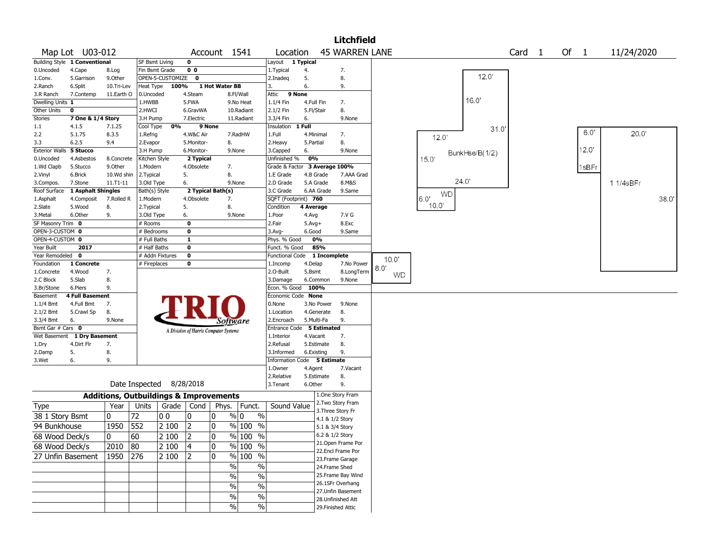|                       |                               |              |                       |                                                   |                |                                       |                |                             |            |                 | <b>Litchfield</b>     |           |           |                |                   |      |                |            |       |
|-----------------------|-------------------------------|--------------|-----------------------|---------------------------------------------------|----------------|---------------------------------------|----------------|-----------------------------|------------|-----------------|-----------------------|-----------|-----------|----------------|-------------------|------|----------------|------------|-------|
|                       | Map Lot U03-012               |              |                       |                                                   |                | Account 1541                          |                | Location                    |            |                 | <b>45 WARREN LANE</b> |           |           |                | Card <sub>1</sub> | Of 1 |                | 11/24/2020 |       |
|                       | Building Style 1 Conventional |              | <b>SF Bsmt Living</b> |                                                   | $\mathbf 0$    |                                       |                | Layout 1 Typical            |            |                 |                       |           |           |                |                   |      |                |            |       |
| 0.Uncoded             | 4.Cape                        | 8.Log        | Fin Bsmt Grade        |                                                   | 0 <sub>0</sub> |                                       |                | 1. Typical                  | 4.         |                 | 7.                    |           |           |                |                   |      |                |            |       |
| 1.Conv.               | 5.Garrison                    | 9.Other      |                       | OPEN-5-CUSTOMIZE                                  | $\bf{0}$       |                                       |                | 2.Inadeg                    | 5.         |                 | 8.                    |           |           | 12.0'          |                   |      |                |            |       |
| 2.Ranch               | 6.Split                       | 10.Tri-Lev   | Heat Type             | 100%                                              |                | 1 Hot Water BB                        |                | 3.                          | 6.         |                 | 9.                    |           |           |                |                   |      |                |            |       |
| 3.R Ranch             | 7.Contemp                     | 11.Earth O   | 0.Uncoded             |                                                   | 4.Steam        |                                       | 8.Fl/Wall      | Attic                       | 9 None     |                 |                       |           |           |                |                   |      |                |            |       |
| Dwelling Units 1      |                               |              | 1.HWBB                |                                                   | 5.FWA          |                                       | 9.No Heat      | 1.1/4 Fin                   | 4.Full Fin |                 | 7.                    |           |           | 16.0'          |                   |      |                |            |       |
| Other Units           | 0                             |              | 2.HWCI                |                                                   | 6.GravWA       |                                       | 10.Radiant     | 2.1/2 Fin                   | 5.Fl/Stair |                 | 8.                    |           |           |                |                   |      |                |            |       |
| Stories               | 7 One & 1/4 Story             |              | 3.H Pump              |                                                   | 7.Electric     |                                       | 11.Radiant     | 3.3/4 Fin                   | 6.         |                 | 9.None                |           |           |                |                   |      |                |            |       |
| $1.1\,$               | 4.1.5                         | 7.1.25       | Cool Type             | 0%                                                |                | 9 None                                |                | Insulation                  | 1 Full     |                 |                       |           |           | 31.0           |                   |      |                |            |       |
| 2.2                   | 5.1.75                        | 8.3.5        | 1.Refrig              |                                                   | 4.W&C Air      |                                       | 7.RadHW        | 1.Full                      | 4.Minimal  |                 | 7.                    |           | 12.0      |                |                   |      | 6.0"           | 20.0       |       |
| 3.3                   | 6.2.5                         | 9.4          | 2.Evapor              |                                                   | 5.Monitor-     | 8.                                    |                | 2. Heavy                    | 5.Partial  |                 | 8.                    |           |           |                |                   |      |                |            |       |
| <b>Exterior Walls</b> | 5 Stucco                      |              | 3.H Pump              |                                                   | 6.Monitor-     |                                       | 9.None         | 3.Capped                    | 6.         |                 | 9.None                |           |           | BunkHse/B(1/2) |                   |      | $12.0^{\circ}$ |            |       |
| 0.Uncoded             | 4.Asbestos                    | 8.Concrete   | Kitchen Style         |                                                   | 2 Typical      |                                       |                | Unfinished %                | 0%         |                 |                       |           | 15.0'     |                |                   |      |                |            |       |
| 1.Wd Clapb            | 5.Stucco                      | 9.0ther      | 1.Modern              |                                                   | 4.Obsolete     | 7.                                    |                | Grade & Factor              |            | 3 Average 100%  |                       |           |           |                |                   |      | 1sBFr          |            |       |
| 2.Vinyl               | 6.Brick                       | 10.Wd shin   | 2.Typical             |                                                   | 5.             | 8.                                    |                | 1.E Grade                   |            | 4.B Grade       | 7.AAA Grad            |           |           |                |                   |      |                |            |       |
| 3.Compos.             | 7.Stone                       | $11.71 - 11$ | 3.Old Type            |                                                   | 6.             |                                       | 9.None         | 2.D Grade                   |            | 5.A Grade       | 8.M&S                 |           |           | 24.0'          |                   |      |                | 1 1/4sBFr  |       |
| Roof Surface          | 1 Asphalt Shingles            |              | Bath(s) Style         |                                                   |                | 2 Typical Bath(s)                     |                | 3.C Grade                   |            | 6.AA Grade      | 9.Same                |           | <b>WD</b> |                |                   |      |                |            |       |
| 1.Asphalt             | 4.Composit                    | 7.Rolled R   | 1.Modern              |                                                   | 4.Obsolete     | 7.                                    |                | SQFT (Footprint) 760        |            |                 |                       |           | 6.0'      |                |                   |      |                |            | 38.0' |
| 2.Slate               | 5.Wood                        | 8.           | 2. Typical            |                                                   | 5.             | 8.                                    |                | Condition                   | 4 Average  |                 |                       |           | 10.0'     |                |                   |      |                |            |       |
| 3.Metal               | 6.Other                       | 9.           | 3.Old Type            |                                                   | 6.             |                                       | 9.None         | 1.Poor                      | 4.Avg      |                 | 7.V G                 |           |           |                |                   |      |                |            |       |
| SF Masonry Trim 0     |                               |              | # Rooms               |                                                   | $\mathbf 0$    |                                       |                | 2.Fair                      | $5.Avg+$   |                 | 8.Exc                 |           |           |                |                   |      |                |            |       |
| OPEN-3-CUSTOM 0       |                               |              | # Bedrooms            |                                                   | 0              |                                       |                | 3.Avg-                      | 6.Good     |                 | 9.Same                |           |           |                |                   |      |                |            |       |
| OPEN-4-CUSTOM 0       |                               |              | # Full Baths          |                                                   | 1              |                                       |                | Phys. % Good                |            | 0%              |                       |           |           |                |                   |      |                |            |       |
| Year Built            | 2017                          |              | # Half Baths          |                                                   | 0              |                                       |                | Funct. % Good               |            | 85%             |                       |           |           |                |                   |      |                |            |       |
| Year Remodeled        | 0                             |              |                       | # Addn Fixtures                                   | $\mathbf 0$    |                                       |                | <b>Functional Code</b>      |            | 1 Incomplete    |                       | 10.0'     |           |                |                   |      |                |            |       |
| Foundation            | 1 Concrete                    |              | # Fireplaces          |                                                   | 0              |                                       |                | 1.Incomp                    | 4.Delap    |                 | 7.No Power            | 8.0'      |           |                |                   |      |                |            |       |
| 1.Concrete            | 4.Wood                        | 7.           |                       |                                                   |                |                                       |                | 2.O-Built                   | 5.Bsmt     |                 | 8.LongTerm            | <b>WD</b> |           |                |                   |      |                |            |       |
| 2.C Block             | 5.Slab                        | 8.           |                       |                                                   |                |                                       |                | 3.Damage                    |            | 6.Common        | 9.None                |           |           |                |                   |      |                |            |       |
| 3.Br/Stone            | 6.Piers                       | 9.           |                       |                                                   |                |                                       |                | Econ. % Good                | 100%       |                 |                       |           |           |                |                   |      |                |            |       |
| Basement              | <b>4 Full Basement</b>        |              |                       |                                                   |                |                                       |                | Economic Code None          |            |                 |                       |           |           |                |                   |      |                |            |       |
| $1.1/4$ Bmt           | 4.Full Bmt                    | 7.           |                       |                                                   |                |                                       |                | 0.None                      |            | 3.No Power      | 9.None                |           |           |                |                   |      |                |            |       |
| 2.1/2 Bmt             | 5.Crawl Sp                    | 8.           |                       |                                                   |                |                                       |                | 1.Location                  |            | 4.Generate      | 8.                    |           |           |                |                   |      |                |            |       |
| 3.3/4 Bmt             | 6.                            | 9.None       |                       |                                                   |                | Software                              |                | 2.Encroach                  |            | 5.Multi-Fa      | 9.                    |           |           |                |                   |      |                |            |       |
| Bsmt Gar # Cars 0     |                               |              |                       |                                                   |                | A Division of Harris Computer Systems |                | Entrance Code               |            | 5 Estimated     |                       |           |           |                |                   |      |                |            |       |
| Wet Basement          | 1 Dry Basement                |              |                       |                                                   |                |                                       |                | 1.Interior                  | 4.Vacant   |                 | 7.                    |           |           |                |                   |      |                |            |       |
| 1.Dry                 | 4.Dirt Flr                    | 7.           |                       |                                                   |                |                                       |                | 2.Refusal                   |            | 5.Estimate      | 8.                    |           |           |                |                   |      |                |            |       |
| 2.Damp                | 5.                            | 8.           |                       |                                                   |                |                                       |                | 3.Informed                  | 6.Existing |                 | 9.                    |           |           |                |                   |      |                |            |       |
| 3.Wet                 | 6.                            | 9.           |                       |                                                   |                |                                       |                | Information Code 5 Estimate |            |                 |                       |           |           |                |                   |      |                |            |       |
|                       |                               |              |                       |                                                   |                |                                       |                | 1.0wner                     | 4.Agent    |                 | 7.Vacant              |           |           |                |                   |      |                |            |       |
|                       |                               |              |                       |                                                   |                |                                       |                | 2.Relative                  |            | 5.Estimate      | 8.                    |           |           |                |                   |      |                |            |       |
|                       |                               |              | Date Inspected        |                                                   | 8/28/2018      |                                       |                | 3.Tenant                    | 6.Other    |                 | 9.                    |           |           |                |                   |      |                |            |       |
|                       |                               |              |                       | <b>Additions, Outbuildings &amp; Improvements</b> |                |                                       |                |                             |            |                 | 1.One Story Fram      |           |           |                |                   |      |                |            |       |
| <b>Type</b>           |                               | Year         | Units                 | Grade   Cond                                      |                | Phys.                                 | Funct.         | Sound Value                 |            |                 | 2. Two Story Fram     |           |           |                |                   |      |                |            |       |
|                       |                               |              |                       |                                                   |                |                                       |                |                             |            |                 | 3. Three Story Fr     |           |           |                |                   |      |                |            |       |
| 38 1 Story Bsmt       |                               | 0            | 72                    | 00                                                | 10             | 0                                     | $\%$ 0<br>$\%$ |                             |            | 4.1 & 1/2 Story |                       |           |           |                |                   |      |                |            |       |
| 94 Bunkhouse          |                               | 1950         | 552                   | 2 100                                             | $ 2\rangle$    | 0                                     | % 100<br>$\%$  |                             |            | 5.1 & 3/4 Story |                       |           |           |                |                   |      |                |            |       |
| 68 Wood Deck/s        |                               | $\mathbf 0$  | 60                    | 2 100                                             | 2              | 0                                     | % 100<br>$\%$  |                             |            | 6.2 & 1/2 Story |                       |           |           |                |                   |      |                |            |       |
| 68 Wood Deck/s        |                               | $2010$ 80    |                       | 2 100                                             | 4              | 0                                     | % 100 %        |                             |            |                 | 21. Open Frame Por    |           |           |                |                   |      |                |            |       |
|                       |                               |              |                       |                                                   |                |                                       |                |                             |            |                 | 22.Encl Frame Por     |           |           |                |                   |      |                |            |       |
|                       | 27 Unfin Basement             | 1950 276     |                       | 2 100                                             | 12             | 0                                     | $%100$ %       |                             |            |                 | 23. Frame Garage      |           |           |                |                   |      |                |            |       |
|                       |                               |              |                       |                                                   |                | $\frac{0}{0}$                         | $\%$           |                             |            | 24.Frame Shed   |                       |           |           |                |                   |      |                |            |       |
|                       |                               |              |                       |                                                   |                | $\%$                                  | $\%$           |                             |            |                 | 25. Frame Bay Wind    |           |           |                |                   |      |                |            |       |
|                       |                               |              |                       |                                                   |                | $\%$                                  |                |                             |            |                 | 26.1SFr Overhang      |           |           |                |                   |      |                |            |       |
|                       |                               |              |                       |                                                   |                |                                       | $\%$           |                             |            |                 | 27.Unfin Basement     |           |           |                |                   |      |                |            |       |
|                       |                               |              |                       |                                                   |                | $\%$                                  | $\%$           |                             |            |                 | 28. Unfinished Att    |           |           |                |                   |      |                |            |       |
|                       |                               |              |                       |                                                   |                | %                                     | $\%$           |                             |            |                 | 29. Finished Attic    |           |           |                |                   |      |                |            |       |
|                       |                               |              |                       |                                                   |                |                                       |                |                             |            |                 |                       |           |           |                |                   |      |                |            |       |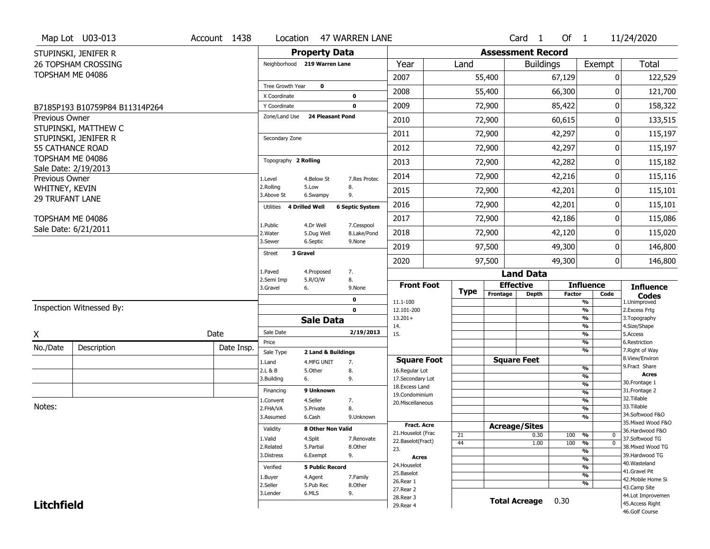|                        | Map Lot U03-013                          | Account 1438 | Location                     |                                  | 47 WARREN LANE             |                                   |             |                          | Card <sub>1</sub>    | Of $1$        |                             | 11/24/2020                          |
|------------------------|------------------------------------------|--------------|------------------------------|----------------------------------|----------------------------|-----------------------------------|-------------|--------------------------|----------------------|---------------|-----------------------------|-------------------------------------|
|                        | STUPINSKI, JENIFER R                     |              |                              | <b>Property Data</b>             |                            |                                   |             | <b>Assessment Record</b> |                      |               |                             |                                     |
|                        | <b>26 TOPSHAM CROSSING</b>               |              | Neighborhood 219 Warren Lane |                                  |                            | Year                              | Land        |                          | <b>Buildings</b>     |               | Exempt                      | Total                               |
|                        | TOPSHAM ME 04086                         |              |                              |                                  |                            | 2007                              |             | 55,400                   |                      | 67,129        | 0                           | 122,529                             |
|                        |                                          |              | Tree Growth Year             | $\mathbf 0$                      |                            | 2008                              |             | 55,400                   |                      | 66,300        | $\Omega$                    | 121,700                             |
|                        | B7185P193 B10759P84 B11314P264           |              | X Coordinate<br>Y Coordinate |                                  | $\mathbf 0$<br>$\mathbf 0$ | 2009                              |             | 72,900                   |                      | 85,422        | 0                           | 158,322                             |
| <b>Previous Owner</b>  |                                          |              | Zone/Land Use                | <b>24 Pleasant Pond</b>          |                            | 2010                              |             | 72,900                   |                      | 60,615        | 0                           | 133,515                             |
|                        | STUPINSKI, MATTHEW C                     |              |                              |                                  |                            |                                   |             |                          |                      |               |                             |                                     |
|                        | STUPINSKI, JENIFER R                     |              | Secondary Zone               |                                  |                            | 2011                              |             | 72,900                   |                      | 42,297        | 0                           | 115,197                             |
|                        | <b>55 CATHANCE ROAD</b>                  |              |                              |                                  |                            | 2012                              |             | 72,900                   |                      | 42,297        | $\pmb{0}$                   | 115,197                             |
|                        | TOPSHAM ME 04086<br>Sale Date: 2/19/2013 |              | Topography 2 Rolling         |                                  |                            | 2013                              |             | 72,900                   |                      | 42,282        | 0                           | 115,182                             |
| Previous Owner         |                                          |              | 1.Level                      | 4.Below St                       | 7.Res Protec               | 2014                              |             | 72,900                   |                      | 42,216        | 0                           | 115,116                             |
| WHITNEY, KEVIN         |                                          |              | 2.Rolling<br>3.Above St      | 5.Low<br>6.Swampy                | 8.<br>9.                   | 2015                              |             | 72,900                   |                      | 42,201        | 0                           | 115,101                             |
| <b>29 TRUFANT LANE</b> |                                          |              | Utilities                    | 4 Drilled Well                   | <b>6 Septic System</b>     | 2016                              |             | 72,900                   |                      | 42,201        | $\mathbf{0}$                | 115,101                             |
|                        | TOPSHAM ME 04086                         |              | 1.Public                     | 4.Dr Well                        | 7.Cesspool                 | 2017                              |             | 72,900                   |                      | 42,186        | 0                           | 115,086                             |
|                        | Sale Date: 6/21/2011                     |              | 2. Water                     | 5.Dug Well                       | 8.Lake/Pond                | 2018                              |             | 72,900                   |                      | 42,120        | 0                           | 115,020                             |
|                        |                                          |              | 3.Sewer                      | 6.Septic                         | 9.None                     | 2019                              |             | 97,500                   |                      | 49,300        | 0                           | 146,800                             |
|                        |                                          |              | <b>Street</b>                | 3 Gravel                         |                            | 2020                              |             | 97,500                   |                      | 49,300        | $\mathbf 0$                 | 146,800                             |
|                        |                                          |              | 1.Paved                      | 4.Proposed                       | 7.                         |                                   |             |                          | <b>Land Data</b>     |               |                             |                                     |
|                        |                                          |              | 2.Semi Imp<br>3.Gravel       | 5.R/O/W<br>6.                    | 8.<br>9.None               | <b>Front Foot</b>                 |             |                          | <b>Effective</b>     |               | <b>Influence</b>            | <b>Influence</b>                    |
|                        |                                          |              |                              |                                  | 0                          | 11.1-100                          | <b>Type</b> | Frontage                 | <b>Depth</b>         | <b>Factor</b> | Code<br>%                   | <b>Codes</b><br>1.Unimproved        |
|                        | Inspection Witnessed By:                 |              |                              |                                  | $\mathbf 0$                | 12.101-200                        |             |                          |                      |               | %                           | 2.Excess Frtg                       |
|                        |                                          |              |                              | <b>Sale Data</b>                 |                            | $13.201+$<br>14.                  |             |                          |                      |               | %<br>%                      | 3. Topography<br>4.Size/Shape       |
| χ                      |                                          | Date         | Sale Date                    |                                  | 2/19/2013                  | 15.                               |             |                          |                      |               | %                           | 5.Access                            |
| No./Date               | Description                              | Date Insp.   | Price                        |                                  |                            |                                   |             |                          |                      |               | %<br>%                      | 6.Restriction<br>7. Right of Way    |
|                        |                                          |              | Sale Type<br>1.Land          | 2 Land & Buildings<br>4.MFG UNIT | 7.                         | <b>Square Foot</b>                |             |                          | <b>Square Feet</b>   |               |                             | 8.View/Environ                      |
|                        |                                          |              | 2.L & B                      | 5.Other                          | 8.                         | 16.Regular Lot                    |             |                          |                      |               | %                           | 9. Fract Share<br><b>Acres</b>      |
|                        |                                          |              | 3.Building                   | 6.                               | 9.                         | 17.Secondary Lot                  |             |                          |                      |               | %<br>$\frac{9}{6}$          | 30.Frontage 1                       |
|                        |                                          |              | Financing                    | 9 Unknown                        |                            | 18. Excess Land<br>19.Condominium |             |                          |                      |               | $\frac{9}{6}$               | 31. Frontage 2                      |
|                        |                                          |              | 1.Convent                    | 4.Seller                         | 7.                         | 20.Miscellaneous                  |             |                          |                      |               | $\frac{9}{6}$               | 32.Tillable                         |
| Notes:                 |                                          |              | 2.FHA/VA                     | 5.Private                        | 8.                         |                                   |             |                          |                      |               | $\frac{9}{6}$               | 33.Tillable<br>34.Softwood F&O      |
|                        |                                          |              | 3.Assumed                    | 6.Cash                           | 9.Unknown                  |                                   |             |                          |                      |               | %                           | 35. Mixed Wood F&O                  |
|                        |                                          |              | Validity                     | 8 Other Non Valid                |                            | Fract. Acre<br>21. Houselot (Frac |             |                          | <b>Acreage/Sites</b> |               |                             | 36.Hardwood F&O                     |
|                        |                                          |              | 1.Valid                      | 4.Split                          | 7.Renovate                 | 22.Baselot(Fract)                 | 21<br>44    |                          | 0.30<br>1.00         | 100<br>100    | %<br>0<br>%<br>$\mathbf{0}$ | 37.Softwood TG                      |
|                        |                                          |              | 2.Related                    | 5.Partial                        | 8.Other                    | 23.                               |             |                          |                      |               | $\frac{9}{6}$               | 38. Mixed Wood TG                   |
|                        |                                          |              | 3.Distress                   | 6.Exempt                         | 9.                         | <b>Acres</b>                      |             |                          |                      |               | $\frac{9}{6}$               | 39.Hardwood TG                      |
|                        |                                          |              | Verified                     | <b>5 Public Record</b>           |                            | 24. Houselot                      |             |                          |                      |               | %                           | 40. Wasteland                       |
|                        |                                          |              | 1.Buyer                      | 4.Agent                          | 7.Family                   | 25.Baselot                        |             |                          |                      |               | $\frac{9}{6}$               | 41.Gravel Pit<br>42. Mobile Home Si |
|                        |                                          |              | 2.Seller                     | 5.Pub Rec                        | 8.Other                    | 26.Rear 1<br>27. Rear 2           |             |                          |                      |               | %                           | 43.Camp Site                        |
|                        |                                          |              | 3.Lender                     | 6.MLS                            | 9.                         | 28. Rear 3                        |             |                          |                      |               |                             | 44.Lot Improvemen                   |
| <b>Litchfield</b>      |                                          |              |                              |                                  |                            | 29. Rear 4                        |             |                          | <b>Total Acreage</b> | 0.30          |                             | 45.Access Right                     |
|                        |                                          |              |                              |                                  |                            |                                   |             |                          |                      |               |                             | 46.Golf Course                      |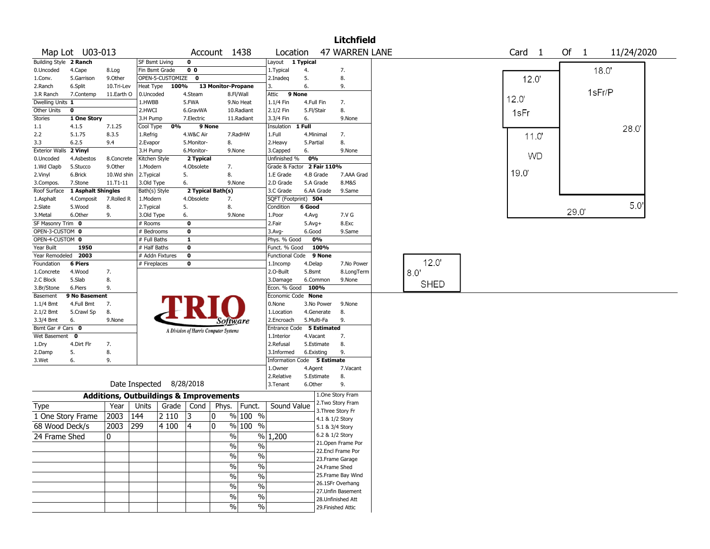|                        |                    |            |                                                   |                  |                                       |                    |                          |                             |            |            | Litchfield            |             |  |                   |           |      |        |            |  |
|------------------------|--------------------|------------|---------------------------------------------------|------------------|---------------------------------------|--------------------|--------------------------|-----------------------------|------------|------------|-----------------------|-------------|--|-------------------|-----------|------|--------|------------|--|
|                        | Map Lot U03-013    |            |                                                   |                  |                                       | Account 1438       |                          | Location                    |            |            | <b>47 WARREN LANE</b> |             |  | Card <sub>1</sub> |           | Of 1 |        | 11/24/2020 |  |
| Building Style 2 Ranch |                    |            | SF Bsmt Living                                    |                  | 0                                     |                    |                          | Layout 1 Typical            |            |            |                       |             |  |                   |           |      |        |            |  |
| 0.Uncoded              | 4.Cape             | 8.Log      | Fin Bsmt Grade                                    |                  | 0 <sub>0</sub>                        |                    |                          | 1. Typical                  | 4.         |            | 7.                    |             |  |                   |           |      | 18.0"  |            |  |
| 1.Conv.                | 5.Garrison         | 9.0ther    |                                                   | OPEN-5-CUSTOMIZE | $\mathbf 0$                           |                    |                          | 2.Inadeq                    | 5.         |            | 8.                    |             |  | 12.0              |           |      |        |            |  |
| 2.Ranch                | 6.Split            | 10.Tri-Lev | Heat Type                                         | 100%             |                                       | 13 Monitor-Propane |                          | 3.                          | 6.         |            | 9.                    |             |  |                   |           |      |        |            |  |
| 3.R Ranch              | 7.Contemp          | 11.Earth O | 0.Uncoded                                         |                  | 4.Steam                               |                    | 8.Fl/Wall                | 9 None<br>Attic             |            |            |                       |             |  | 12.0              |           |      | 1sFr/P |            |  |
| Dwelling Units 1       |                    |            | 1.HWBB                                            |                  | 5.FWA                                 |                    | 9.No Heat                | 1.1/4 Fin                   |            | 4.Full Fin | 7.                    |             |  |                   |           |      |        |            |  |
| Other Units            | 0                  |            | 2.HWCI                                            |                  | 6.GravWA                              |                    | 10.Radiant               | 2.1/2 Fin                   | 5.Fl/Stair |            | 8.                    |             |  | 1sFr              |           |      |        |            |  |
| <b>Stories</b>         | 1 One Story        |            | 3.H Pump                                          |                  | 7.Electric                            |                    | 11.Radiant               | 3.3/4 Fin                   | 6.         |            | 9.None                |             |  |                   |           |      |        |            |  |
| 1.1                    | 4.1.5              | 7.1.25     | Cool Type                                         | 0%               | 9 None                                |                    |                          | Insulation                  | 1 Full     |            |                       |             |  |                   |           |      |        | 28.0       |  |
| 2.2                    | 5.1.75             | 8.3.5      | 1.Refrig                                          |                  | 4.W&C Air                             |                    | 7.RadHW                  | 1.Full                      |            | 4.Minimal  | 7.                    |             |  | 11.0'             |           |      |        |            |  |
| 3.3                    | 6.2.5              | 9.4        | 2.Evapor                                          |                  | 5.Monitor-                            | 8.                 |                          | 2. Heavy                    | 5.Partial  |            | 8.                    |             |  |                   |           |      |        |            |  |
| <b>Exterior Walls</b>  | 2 Vinyl            |            | 3.H Pump                                          |                  | 6.Monitor-                            |                    | 9.None                   | 3.Capped                    | 6.         |            | 9.None                |             |  |                   | <b>WD</b> |      |        |            |  |
| 0.Uncoded              | 4.Asbestos         | 8.Concrete | Kitchen Style                                     |                  | 2 Typical                             |                    |                          | Unfinished %                | 0%         |            |                       |             |  |                   |           |      |        |            |  |
| 1.Wd Clapb             | 5.Stucco           | 9.0ther    | 1.Modern                                          |                  | 4.Obsolete                            | 7.                 |                          | Grade & Factor 2 Fair 110%  |            |            |                       |             |  |                   |           |      |        |            |  |
| 2.Vinyl                | 6.Brick            | 10.Wd shin | 2. Typical                                        |                  | 5.                                    | 8.                 |                          | 1.E Grade                   |            | 4.B Grade  | 7.AAA Grad            |             |  | 19.0              |           |      |        |            |  |
| 3.Compos.              | 7.Stone            | 11.T1-11   | 3.Old Type                                        |                  | 6.                                    |                    | 9.None                   | 2.D Grade                   |            | 5.A Grade  | 8.M&S                 |             |  |                   |           |      |        |            |  |
| Roof Surface           | 1 Asphalt Shingles |            | Bath(s) Style                                     |                  |                                       | 2 Typical Bath(s)  |                          | 3.C Grade                   |            | 6.AA Grade | 9.Same                |             |  |                   |           |      |        |            |  |
| 1.Asphalt              | 4.Composit         | 7.Rolled R | 1.Modern                                          |                  | 4.Obsolete                            | 7.                 |                          | SQFT (Footprint) 504        |            |            |                       |             |  |                   |           |      |        |            |  |
| 2.Slate                | 5.Wood             | 8.         | 2. Typical                                        |                  | 5.                                    | 8.                 |                          | Condition                   | 6 Good     |            |                       |             |  |                   |           | 29.0 |        | 5.0'       |  |
| 3.Metal                | 6.Other            | 9.         | 3.Old Type                                        |                  | 6.                                    |                    | 9.None                   | 1.Poor                      | 4.Avg      |            | 7.V G                 |             |  |                   |           |      |        |            |  |
| SF Masonry Trim 0      |                    |            | # Rooms                                           |                  | 0                                     |                    |                          | 2.Fair                      | $5.Avg+$   |            | 8.Exc                 |             |  |                   |           |      |        |            |  |
| OPEN-3-CUSTOM 0        |                    |            | # Bedrooms                                        |                  | 0                                     |                    |                          | 3.Avg-                      | 6.Good     |            | 9.Same                |             |  |                   |           |      |        |            |  |
| OPEN-4-CUSTOM 0        |                    |            | # Full Baths                                      |                  | 1                                     |                    |                          | Phys. % Good                |            | 0%         |                       |             |  |                   |           |      |        |            |  |
| Year Built             | 1950               |            | # Half Baths                                      |                  | 0                                     |                    |                          | Funct. % Good               |            | 100%       |                       |             |  |                   |           |      |        |            |  |
| Year Remodeled         | 2003               |            | # Addn Fixtures                                   |                  | $\mathbf 0$                           |                    |                          | <b>Functional Code</b>      |            | 9 None     |                       |             |  |                   |           |      |        |            |  |
| Foundation             | <b>6 Piers</b>     |            | # Fireplaces                                      |                  | 0                                     |                    |                          | 1.Incomp                    | 4.Delap    |            | 7.No Power            | 12.0        |  |                   |           |      |        |            |  |
| 1.Concrete             | 4.Wood             | 7.         |                                                   |                  |                                       |                    |                          | 2.0-Built                   | 5.Bsmt     |            | 8.LongTerm            | 8.0         |  |                   |           |      |        |            |  |
| 2.C Block              | 5.Slab             | 8.         |                                                   |                  |                                       |                    |                          | 3.Damage                    |            | 6.Common   | 9.None                | <b>SHED</b> |  |                   |           |      |        |            |  |
| 3.Br/Stone             | 6.Piers            | 9.         |                                                   |                  |                                       |                    |                          | Econ. % Good                |            | 100%       |                       |             |  |                   |           |      |        |            |  |
| Basement               | 9 No Basement      |            |                                                   |                  |                                       |                    |                          | Economic Code None          |            |            |                       |             |  |                   |           |      |        |            |  |
| 1.1/4 Bmt              | 4.Full Bmt         | 7.         |                                                   |                  |                                       |                    |                          | 0.None                      |            | 3.No Power | 9.None                |             |  |                   |           |      |        |            |  |
| 2.1/2 Bmt              | 5.Crawl Sp         | 8.         |                                                   |                  |                                       |                    |                          | 1.Location                  |            | 4.Generate | 8.                    |             |  |                   |           |      |        |            |  |
| 3.3/4 Bmt              | 6.                 | 9.None     |                                                   |                  |                                       | Software           |                          | 2.Encroach                  |            | 5.Multi-Fa | 9.                    |             |  |                   |           |      |        |            |  |
| Bsmt Gar # Cars 0      |                    |            |                                                   |                  | A Division of Harris Computer Systems |                    |                          | Entrance Code 5 Estimated   |            |            |                       |             |  |                   |           |      |        |            |  |
| Wet Basement           | $\mathbf 0$        |            |                                                   |                  |                                       |                    |                          | 1.Interior                  | 4.Vacant   |            | 7.                    |             |  |                   |           |      |        |            |  |
| 1.Dry                  | 4.Dirt Flr         | 7.         |                                                   |                  |                                       |                    |                          | 2.Refusal                   |            | 5.Estimate | 8.                    |             |  |                   |           |      |        |            |  |
| 2.Damp                 | 5.                 | 8.         |                                                   |                  |                                       |                    |                          | 3.Informed                  |            | 6.Existing | 9.                    |             |  |                   |           |      |        |            |  |
| 3.Wet                  | 6.                 | 9.         |                                                   |                  |                                       |                    |                          | Information Code 5 Estimate |            |            |                       |             |  |                   |           |      |        |            |  |
|                        |                    |            |                                                   |                  |                                       |                    |                          | 1.0wner                     | 4.Agent    |            | 7.Vacant              |             |  |                   |           |      |        |            |  |
|                        |                    |            |                                                   |                  |                                       |                    |                          | 2.Relative                  |            | 5.Estimate | 8.                    |             |  |                   |           |      |        |            |  |
|                        |                    |            | Date Inspected                                    |                  | 8/28/2018                             |                    |                          | 3.Tenant                    | 6.Other    |            | 9.                    |             |  |                   |           |      |        |            |  |
|                        |                    |            | <b>Additions, Outbuildings &amp; Improvements</b> |                  |                                       |                    |                          |                             |            |            | 1.One Story Fram      |             |  |                   |           |      |        |            |  |
| Type                   |                    | Year       | Units                                             | Grade            | Cond                                  | Phys.              | Funct.                   | Sound Value                 |            |            | 2. Two Story Fram     |             |  |                   |           |      |        |            |  |
| 1 One Story Frame      |                    | 2003       | 144                                               | 2 1 1 0          | 13                                    | 0                  | % 100 %                  |                             |            |            | 3. Three Story Fr     |             |  |                   |           |      |        |            |  |
|                        |                    |            |                                                   |                  |                                       | 0                  | % 100 %                  |                             |            |            | 4.1 & 1/2 Story       |             |  |                   |           |      |        |            |  |
| 68 Wood Deck/s         |                    | 2003       | 299                                               | 4 100            | 4                                     |                    |                          |                             |            |            | 5.1 & 3/4 Story       |             |  |                   |           |      |        |            |  |
| 24 Frame Shed          |                    | 0          |                                                   |                  |                                       | $\%$               |                          | $\frac{9}{6}$ 1,200         |            |            | 6.2 & 1/2 Story       |             |  |                   |           |      |        |            |  |
|                        |                    |            |                                                   |                  |                                       | $\%$               | $\frac{0}{0}$            |                             |            |            | 21. Open Frame Por    |             |  |                   |           |      |        |            |  |
|                        |                    |            |                                                   |                  |                                       | $\%$               | %                        |                             |            |            | 22.Encl Frame Por     |             |  |                   |           |      |        |            |  |
|                        |                    |            |                                                   |                  |                                       |                    |                          |                             |            |            | 23. Frame Garage      |             |  |                   |           |      |        |            |  |
|                        |                    |            |                                                   |                  |                                       | $\%$               | $\%$                     |                             |            |            | 24.Frame Shed         |             |  |                   |           |      |        |            |  |
|                        |                    |            |                                                   |                  |                                       | $\%$               | $\overline{\frac{0}{6}}$ |                             |            |            | 25. Frame Bay Wind    |             |  |                   |           |      |        |            |  |
|                        |                    |            |                                                   |                  |                                       | $\%$               | $\%$                     |                             |            |            | 26.1SFr Overhang      |             |  |                   |           |      |        |            |  |
|                        |                    |            |                                                   |                  |                                       | $\%$               | $\%$                     |                             |            |            | 27.Unfin Basement     |             |  |                   |           |      |        |            |  |
|                        |                    |            |                                                   |                  |                                       |                    |                          |                             |            |            | 28.Unfinished Att     |             |  |                   |           |      |        |            |  |
|                        |                    |            |                                                   |                  |                                       | $\%$               | $\sqrt{6}$               |                             |            |            | 29. Finished Attic    |             |  |                   |           |      |        |            |  |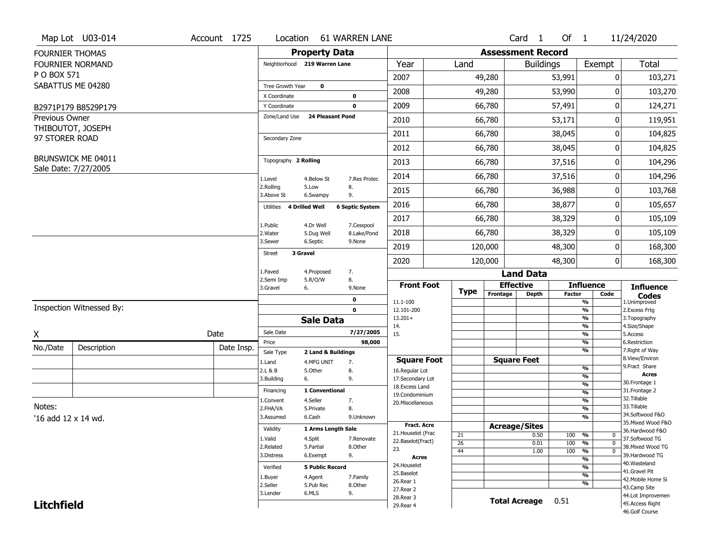|                        | Map Lot U03-014          | Account 1725 | Location                           |                         | <b>61 WARREN LANE</b>      |                                     |                       |                          | Card <sub>1</sub> | Of $1$        |                                         | 11/24/2020                       |
|------------------------|--------------------------|--------------|------------------------------------|-------------------------|----------------------------|-------------------------------------|-----------------------|--------------------------|-------------------|---------------|-----------------------------------------|----------------------------------|
| <b>FOURNIER THOMAS</b> |                          |              |                                    | <b>Property Data</b>    |                            |                                     |                       | <b>Assessment Record</b> |                   |               |                                         |                                  |
|                        | <b>FOURNIER NORMAND</b>  |              | Neighborhood 219 Warren Lane       |                         |                            | Year                                | Land                  |                          | <b>Buildings</b>  |               | Exempt                                  | <b>Total</b>                     |
| P O BOX 571            |                          |              |                                    |                         |                            | 2007                                |                       | 49,280                   |                   | 53,991        | 0                                       | 103,271                          |
|                        | SABATTUS ME 04280        |              | Tree Growth Year                   | $\mathbf 0$             |                            | 2008                                |                       | 49,280                   |                   | 53,990        | 0                                       | 103,270                          |
|                        |                          |              | X Coordinate<br>Y Coordinate       |                         | $\mathbf 0$<br>$\mathbf 0$ | 2009                                |                       | 66,780                   |                   | 57,491        | 0                                       | 124,271                          |
| <b>Previous Owner</b>  | B2971P179 B8529P179      |              | Zone/Land Use                      | <b>24 Pleasant Pond</b> |                            |                                     |                       |                          |                   |               |                                         |                                  |
|                        | THIBOUTOT, JOSEPH        |              |                                    |                         |                            | 2010                                |                       | 66,780                   |                   | 53,171        | 0                                       | 119,951                          |
| 97 STORER ROAD         |                          |              | Secondary Zone                     |                         |                            | 2011                                |                       | 66,780                   |                   | 38,045        | 0                                       | 104,825                          |
|                        |                          |              |                                    |                         |                            | 2012                                |                       | 66,780                   |                   | 38,045        | 0                                       | 104,825                          |
|                        | BRUNSWICK ME 04011       |              | Topography 2 Rolling               |                         |                            | 2013                                |                       | 66,780                   |                   | 37,516        | 0                                       | 104,296                          |
|                        | Sale Date: 7/27/2005     |              | 1.Level                            | 4.Below St              | 7.Res Protec               | 2014                                |                       | 66,780                   |                   | 37,516        | 0                                       | 104,296                          |
|                        |                          |              | 2.Rolling<br>3.Above St            | 5.Low<br>6.Swampy       | 8.<br>9.                   | 2015                                |                       | 66,780                   |                   | 36,988        | 0                                       | 103,768                          |
|                        |                          |              | <b>4 Drilled Well</b><br>Utilities |                         | <b>6 Septic System</b>     | 2016                                |                       | 66,780                   |                   | 38,877        | 0                                       | 105,657                          |
|                        |                          |              | 1.Public                           | 4.Dr Well               | 7.Cesspool                 | 2017                                |                       | 66,780                   |                   | 38,329        | 0                                       | 105,109                          |
|                        |                          |              | 2. Water                           | 5.Dug Well              | 8.Lake/Pond                | 2018                                |                       | 66,780                   |                   | 38,329        | 0                                       | 105,109                          |
|                        |                          |              | 3.Sewer<br>3 Gravel                | 6.Septic                | 9.None                     | 2019                                |                       | 120,000                  |                   | 48,300        | 0                                       | 168,300                          |
|                        |                          |              | <b>Street</b>                      |                         |                            | 2020                                |                       | 120,000                  |                   | 48,300        | 0                                       | 168,300                          |
|                        |                          |              | 1.Paved                            | 4.Proposed              | 7.                         |                                     |                       |                          | <b>Land Data</b>  |               |                                         |                                  |
|                        |                          |              | 2.Semi Imp<br>3.Gravel<br>6.       | 5.R/O/W                 | 8.<br>9.None               | <b>Front Foot</b>                   | <b>Type</b>           | <b>Effective</b>         |                   |               | <b>Influence</b>                        | <b>Influence</b>                 |
|                        |                          |              |                                    |                         | 0                          | 11.1-100                            |                       | Frontage                 | Depth             | <b>Factor</b> | Code<br>$\frac{9}{6}$                   | <b>Codes</b><br>1.Unimproved     |
|                        | Inspection Witnessed By: |              |                                    |                         | $\mathbf 0$                | 12.101-200                          |                       |                          |                   |               | $\frac{9}{6}$                           | 2.Excess Frtg                    |
|                        |                          |              |                                    | <b>Sale Data</b>        |                            | $13.201+$<br>14.                    |                       |                          |                   |               | $\frac{9}{6}$<br>$\frac{9}{6}$          | 3. Topography<br>4.Size/Shape    |
| Χ                      |                          | Date         | Sale Date                          |                         | 7/27/2005                  | 15.                                 |                       |                          |                   |               | $\frac{9}{6}$                           | 5.Access                         |
| No./Date               | Description              | Date Insp.   | Price<br>Sale Type                 | 2 Land & Buildings      | 98,000                     |                                     |                       |                          |                   |               | $\frac{9}{6}$<br>$\frac{9}{6}$          | 6.Restriction<br>7. Right of Way |
|                        |                          |              | 1.Land                             | 4.MFG UNIT              | 7.                         | <b>Square Foot</b>                  |                       | <b>Square Feet</b>       |                   |               |                                         | 8.View/Environ                   |
|                        |                          |              | 2.L & B                            | 5.Other                 | 8.                         | 16.Regular Lot                      |                       |                          |                   |               | %                                       | 9.Fract Share<br><b>Acres</b>    |
|                        |                          |              | 6.<br>3.Building                   |                         | 9.                         | 17.Secondary Lot<br>18. Excess Land |                       |                          |                   |               | $\frac{9}{6}$<br>$\frac{9}{6}$          | 30. Frontage 1                   |
|                        |                          |              | Financing                          | 1 Conventional          |                            | 19.Condominium                      |                       |                          |                   |               | $\frac{9}{6}$                           | 31. Frontage 2                   |
|                        |                          |              | 1.Convent                          | 4.Seller                | 7.                         | 20.Miscellaneous                    |                       |                          |                   |               | $\frac{9}{6}$                           | 32. Tillable<br>33.Tillable      |
| Notes:                 |                          |              | 2.FHA/VA                           | 5.Private               | 8.                         |                                     |                       |                          |                   |               | $\frac{9}{6}$                           | 34.Softwood F&O                  |
| '16 add 12 x 14 wd.    |                          |              | 3.Assumed                          | 6.Cash                  | 9.Unknown                  | Fract. Acre                         |                       |                          |                   |               | $\frac{9}{6}$                           | 35. Mixed Wood F&O               |
|                        |                          |              | Validity                           | 1 Arms Length Sale      |                            | 21. Houselot (Frac                  |                       | <b>Acreage/Sites</b>     |                   |               |                                         | 36.Hardwood F&O                  |
|                        |                          |              | 1.Valid                            | 4.Split                 | 7.Renovate                 | 22.Baselot(Fract)                   | 21<br>$\overline{26}$ |                          | 0.50<br>0.01      | 100<br>100    | %<br>0<br>$\frac{9}{6}$<br>$\mathbf 0$  | 37.Softwood TG                   |
|                        |                          |              | 2.Related                          | 5.Partial               | 8.Other                    | 23.                                 | 44                    |                          | 1.00              | 100           | $\overline{\frac{9}{6}}$<br>$\mathbf 0$ | 38. Mixed Wood TG                |
|                        |                          |              | 3.Distress                         | 6.Exempt                | 9.                         | <b>Acres</b>                        |                       |                          |                   |               | $\frac{9}{6}$                           | 39.Hardwood TG                   |
|                        |                          |              | Verified                           | <b>5 Public Record</b>  |                            | 24. Houselot                        |                       |                          |                   |               | $\frac{9}{6}$                           | 40. Wasteland<br>41.Gravel Pit   |
|                        |                          |              | 1.Buyer                            | 4.Agent                 | 7.Family                   | 25.Baselot<br>26.Rear 1             |                       |                          |                   |               | $\frac{9}{6}$                           | 42. Mobile Home Si               |
|                        |                          |              | 2.Seller                           | 5.Pub Rec               | 8.Other                    | 27.Rear 2                           |                       |                          |                   |               | %                                       | 43.Camp Site                     |
|                        |                          |              | 3.Lender                           | 6.MLS                   | 9.                         | 28. Rear 3                          |                       |                          |                   |               |                                         | 44.Lot Improvemen                |
| <b>Litchfield</b>      |                          |              |                                    |                         |                            |                                     |                       | <b>Total Acreage</b>     |                   | 0.51          |                                         | 45.Access Right                  |
|                        |                          |              |                                    |                         |                            | 29. Rear 4                          |                       |                          |                   |               |                                         | 46.Golf Course                   |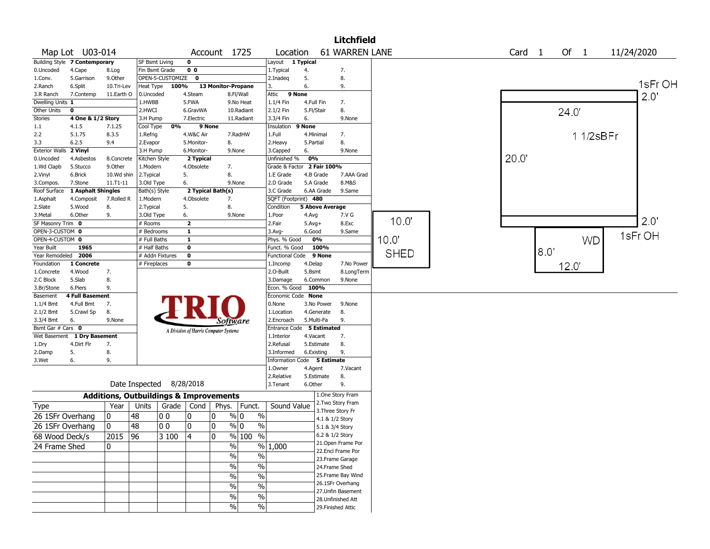|                                 |                               |                                                   |                     |                  |                         |                                       |                                   |                             |                      |                                      | <b>Litchfield</b>    |             |                   |      |       |           |            |
|---------------------------------|-------------------------------|---------------------------------------------------|---------------------|------------------|-------------------------|---------------------------------------|-----------------------------------|-----------------------------|----------------------|--------------------------------------|----------------------|-------------|-------------------|------|-------|-----------|------------|
|                                 | Map Lot U03-014               |                                                   |                     |                  |                         | Account 1725                          |                                   | Location                    |                      | <b>61 WARREN LANE</b>                |                      |             | Card <sub>1</sub> |      | Of 1  |           | 11/24/2020 |
|                                 | Building Style 7 Contemporary |                                                   | SF Bsmt Living      |                  | $\mathbf 0$             |                                       |                                   | Layout                      | 1 Typical            |                                      |                      |             |                   |      |       |           |            |
| 0.Uncoded                       | 4.Cape                        | 8.Log                                             | Fin Bsmt Grade      |                  | 0 <sub>0</sub>          |                                       |                                   | 1.Typical                   | 4.                   | 7.                                   |                      |             |                   |      |       |           |            |
| 1.Conv.                         | 5.Garrison                    | 9.Other                                           |                     | OPEN-5-CUSTOMIZE | $\mathbf 0$             |                                       |                                   | 2.Inadeg                    | 5.                   | 8.                                   |                      |             |                   |      |       |           | 1sFr OH    |
| 2.Ranch                         | 6.Split                       | 10.Tri-Lev                                        | Heat Type           | 100%             |                         | 13 Monitor-Propane                    |                                   | 3.                          | 6.                   | 9.                                   |                      |             |                   |      |       |           |            |
| 3.R Ranch                       | 7.Contemp                     | 11.Earth O                                        | 0.Uncoded<br>1.HWBB |                  | 4.Steam<br>5.FWA        |                                       | 8.Fl/Wall                         | Attic                       | 9 None<br>4.Full Fin | 7.                                   |                      |             |                   |      |       |           | 2.0'       |
| Dwelling Units 1<br>Other Units | 0                             |                                                   | 2.HWCI              |                  | 6.GravWA                |                                       | 9.No Heat<br>10.Radiant           | 1.1/4 Fin<br>2.1/2 Fin      | 5.Fl/Stair           | 8.                                   |                      |             |                   |      |       |           |            |
| Stories                         | 4 One & 1/2 Story             |                                                   | 3.H Pump            |                  | 7.Electric              |                                       | 11.Radiant                        | 3.3/4 Fin                   | 6.                   |                                      | 9.None               |             |                   |      | 24.0' |           |            |
| $1.1\,$                         | 4.1.5                         | 7.1.25                                            | Cool Type           | 0%               |                         | 9 None                                |                                   | Insulation                  | 9 None               |                                      |                      |             |                   |      |       |           |            |
| 2.2                             | 5.1.75                        | 8.3.5                                             | 1.Refrig            |                  | 4.W&C Air               |                                       | 7.RadHW                           | 1.Full                      | 4.Minimal            | 7.                                   |                      |             |                   |      |       | 1 1/2sBFr |            |
| 3.3                             | 6.2.5                         | 9.4                                               | 2.Evapor            |                  | 5.Monitor-              | 8.                                    |                                   | 2.Heavy                     | 5.Partial            | 8.                                   |                      |             |                   |      |       |           |            |
| <b>Exterior Walls</b>           | 2 Vinyl                       |                                                   | 3.H Pump            |                  | 6.Monitor-              |                                       | 9.None                            | 3.Capped                    | 6.                   |                                      | 9.None               |             |                   |      |       |           |            |
| 0.Uncoded                       | 4.Asbestos                    | 8.Concrete                                        | Kitchen Style       |                  | 2 Typical               |                                       |                                   | Unfinished %                | 0%                   |                                      |                      |             | 20.0              |      |       |           |            |
| 1.Wd Clapb                      | 5.Stucco                      | 9.0ther                                           | 1.Modern            |                  | 4.Obsolete              | 7.                                    |                                   | Grade & Factor 2 Fair 100%  |                      |                                      |                      |             |                   |      |       |           |            |
| 2.Vinyl                         | 6.Brick                       | 10.Wd shin                                        | 2.Typical           |                  | 5.                      | 8.                                    |                                   | 1.E Grade                   | 4.B Grade            |                                      | 7.AAA Grad           |             |                   |      |       |           |            |
| 3.Compos.                       | 7.Stone                       | 11.T1-11                                          | 3.Old Type          |                  | 6.                      |                                       | 9.None                            | 2.D Grade                   | 5.A Grade            |                                      | 8.M&S                |             |                   |      |       |           |            |
| Roof Surface                    | 1 Asphalt Shingles            |                                                   | Bath(s) Style       |                  |                         | 2 Typical Bath(s)                     |                                   | 3.C Grade                   | 6.AA Grade           |                                      | 9.Same               |             |                   |      |       |           |            |
| 1.Asphalt                       | 4.Composit                    | 7.Rolled R                                        | 1.Modern            |                  | 4.Obsolete              | 7.                                    |                                   | SQFT (Footprint) 480        |                      |                                      |                      |             |                   |      |       |           |            |
| 2.Slate                         | 5.Wood                        | 8.                                                | 2.Typical           |                  | 5.                      | 8.                                    |                                   | Condition                   |                      | 5 Above Average                      |                      |             |                   |      |       |           |            |
| 3.Metal                         | 6.Other                       | 9.                                                | 3.Old Type          |                  | 6.                      |                                       | 9.None                            | 1.Poor                      | 4.Avg                | 7.V G                                |                      |             |                   |      |       |           |            |
| SF Masonry Trim 0               |                               |                                                   | # Rooms             |                  | $\overline{\mathbf{2}}$ |                                       |                                   | 2.Fair                      | $5.$ Avg $+$         | 8.Exc                                |                      | 10.0"       |                   |      |       |           | 2.0'       |
| OPEN-3-CUSTOM 0                 |                               |                                                   | # Bedrooms          |                  | $\mathbf{1}$            |                                       |                                   | 3.Avg-                      | 6.Good               |                                      | 9.Same               |             |                   |      |       |           | 1sFr OH    |
| OPEN-4-CUSTOM 0                 |                               |                                                   | # Full Baths        |                  | $\mathbf{1}$            |                                       |                                   | Phys. % Good                | 0%                   |                                      |                      | 10.0"       |                   |      |       | <b>WD</b> |            |
| Year Built                      | 1965                          |                                                   | # Half Baths        |                  | $\mathbf 0$             |                                       |                                   | Funct. % Good               | 100%                 |                                      |                      | <b>SHED</b> |                   | 8.0" |       |           |            |
| Year Remodeled 2006             |                               |                                                   |                     | # Addn Fixtures  | $\bf{0}$                |                                       |                                   | <b>Functional Code</b>      | 9 None               |                                      |                      |             |                   |      |       |           |            |
| Foundation                      | 1 Concrete                    |                                                   | # Fireplaces        |                  | $\bf{0}$                |                                       |                                   | 1.Incomp                    | 4.Delap              |                                      | 7.No Power           |             |                   |      | 12.0" |           |            |
| 1.Concrete<br>2.C Block         | 4.Wood<br>5.Slab              | 7.<br>8.                                          |                     |                  |                         |                                       |                                   | 2.0-Built<br>3.Damage       | 5.Bsmt<br>6.Common   |                                      | 8.LongTerm<br>9.None |             |                   |      |       |           |            |
| 3.Br/Stone                      | 6.Piers                       | 9.                                                |                     |                  |                         |                                       |                                   | Econ. % Good                | 100%                 |                                      |                      |             |                   |      |       |           |            |
| Basement                        | 4 Full Basement               |                                                   |                     |                  |                         |                                       |                                   | Economic Code None          |                      |                                      |                      |             |                   |      |       |           |            |
| 1.1/4 Bmt                       | 4.Full Bmt                    | 7.                                                |                     |                  |                         |                                       |                                   | 0.None                      | 3.No Power           |                                      | 9.None               |             |                   |      |       |           |            |
| $2.1/2$ Bmt                     | 5.Crawl Sp                    | 8.                                                |                     |                  |                         |                                       |                                   | 1.Location                  | 4.Generate           | 8.                                   |                      |             |                   |      |       |           |            |
| 3.3/4 Bmt                       | 6.                            | 9.None                                            |                     |                  |                         | Software                              |                                   | 2.Encroach                  | 5.Multi-Fa           | 9.                                   |                      |             |                   |      |       |           |            |
| Bsmt Gar # Cars 0               |                               |                                                   |                     |                  |                         | A Division of Harris Computer Systems |                                   | Entrance Code 5 Estimated   |                      |                                      |                      |             |                   |      |       |           |            |
| Wet Basement                    | 1 Dry Basement                |                                                   |                     |                  |                         |                                       |                                   | 1.Interior                  | 4.Vacant             | 7.                                   |                      |             |                   |      |       |           |            |
| 1.Dry                           | 4.Dirt Flr                    | 7.                                                |                     |                  |                         |                                       |                                   | 2.Refusal                   | 5.Estimate           | 8.                                   |                      |             |                   |      |       |           |            |
| 2.Damp                          | 5.                            | 8.                                                |                     |                  |                         |                                       |                                   | 3.Informed                  | 6.Existing           | 9.                                   |                      |             |                   |      |       |           |            |
| 3.Wet                           | 6.                            | 9.                                                |                     |                  |                         |                                       |                                   | Information Code 5 Estimate |                      |                                      |                      |             |                   |      |       |           |            |
|                                 |                               |                                                   |                     |                  |                         |                                       |                                   | 1.Owner                     | 4.Agent              |                                      | 7.Vacant             |             |                   |      |       |           |            |
|                                 |                               |                                                   |                     |                  |                         |                                       |                                   | 2.Relative                  | 5.Estimate           | 8.                                   |                      |             |                   |      |       |           |            |
|                                 |                               |                                                   | Date Inspected      |                  | 8/28/2018               |                                       |                                   | 3.Tenant                    | 6.Other              | 9.                                   |                      |             |                   |      |       |           |            |
|                                 |                               | <b>Additions, Outbuildings &amp; Improvements</b> |                     |                  |                         |                                       |                                   |                             |                      | 1.One Story Fram                     |                      |             |                   |      |       |           |            |
| Type                            |                               | Year                                              | Units               | Grade   Cond     |                         | Phys.                                 | Funct.                            | Sound Value                 |                      | 2. Two Story Fram                    |                      |             |                   |      |       |           |            |
| 26 1SFr Overhang                |                               | 0                                                 | 48                  | 00               | 10                      | 0                                     | % 0<br>$\%$                       |                             |                      | 3. Three Story Fr<br>4.1 & 1/2 Story |                      |             |                   |      |       |           |            |
| 26 1SFr Overhang                |                               | 0                                                 | 48                  | 0 O              | 10                      | 0                                     | % 0<br>$\%$                       |                             |                      | 5.1 & 3/4 Story                      |                      |             |                   |      |       |           |            |
|                                 |                               |                                                   |                     |                  |                         | $\Omega$                              |                                   |                             |                      | 6.2 & 1/2 Story                      |                      |             |                   |      |       |           |            |
| 68 Wood Deck/s                  |                               | 2015                                              | $\overline{96}$     | 3100             | $\overline{4}$          |                                       | % 100<br>$\overline{\frac{0}{0}}$ |                             |                      | 21. Open Frame Por                   |                      |             |                   |      |       |           |            |
| 24 Frame Shed                   |                               | 0                                                 |                     |                  |                         | $\%$                                  |                                   | % 1,000                     |                      | 22.Encl Frame Por                    |                      |             |                   |      |       |           |            |
|                                 |                               |                                                   |                     |                  |                         | $\sqrt{20}$                           | $\%$                              |                             |                      | 23. Frame Garage                     |                      |             |                   |      |       |           |            |
|                                 |                               |                                                   |                     |                  |                         | %                                     | $\%$                              |                             |                      | 24.Frame Shed                        |                      |             |                   |      |       |           |            |
|                                 |                               |                                                   |                     |                  |                         | $\sqrt{20}$                           | $\%$                              |                             |                      | 25. Frame Bay Wind                   |                      |             |                   |      |       |           |            |
|                                 |                               |                                                   |                     |                  |                         |                                       |                                   |                             |                      | 26.1SFr Overhang                     |                      |             |                   |      |       |           |            |
|                                 |                               |                                                   |                     |                  |                         | $\sqrt{6}$                            | $\%$                              |                             |                      | 27.Unfin Basement                    |                      |             |                   |      |       |           |            |
|                                 |                               |                                                   |                     |                  |                         | $\frac{0}{0}$                         | $\%$                              |                             |                      | 28.Unfinished Att                    |                      |             |                   |      |       |           |            |
|                                 |                               |                                                   |                     |                  |                         | $\frac{0}{0}$                         | $\%$                              |                             |                      | 29. Finished Attic                   |                      |             |                   |      |       |           |            |
|                                 |                               |                                                   |                     |                  |                         |                                       |                                   |                             |                      |                                      |                      |             |                   |      |       |           |            |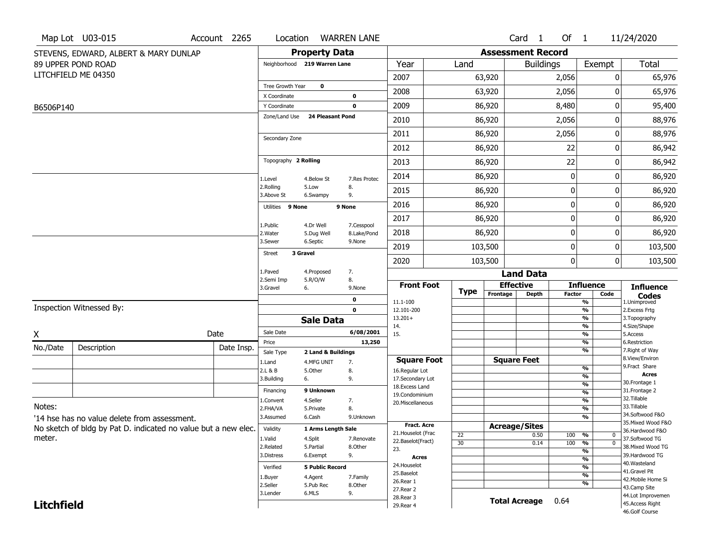|                   | Map Lot U03-015                                                | Account 2265 | Location                     |                         | <b>WARREN LANE</b>        |                                    |             |                          | Card <sub>1</sub>  | Of 1          |                                           | 11/24/2020                        |
|-------------------|----------------------------------------------------------------|--------------|------------------------------|-------------------------|---------------------------|------------------------------------|-------------|--------------------------|--------------------|---------------|-------------------------------------------|-----------------------------------|
|                   | STEVENS, EDWARD, ALBERT & MARY DUNLAP                          |              |                              | <b>Property Data</b>    |                           |                                    |             | <b>Assessment Record</b> |                    |               |                                           |                                   |
|                   | 89 UPPER POND ROAD                                             |              | Neighborhood 219 Warren Lane |                         |                           | Year                               | Land        |                          | <b>Buildings</b>   |               | Exempt                                    | Total                             |
|                   | LITCHFIELD ME 04350                                            |              |                              |                         |                           | 2007                               |             | 63,920                   |                    | 2,056         | 0                                         | 65,976                            |
|                   |                                                                |              | Tree Growth Year             | 0                       |                           | 2008                               |             | 63,920                   |                    | 2,056         |                                           | 65,976                            |
|                   |                                                                |              | X Coordinate<br>Y Coordinate |                         | 0<br>0                    | 2009                               |             | 86,920                   |                    | 8,480         | 0                                         | 95,400                            |
| B6506P140         |                                                                |              | Zone/Land Use                | <b>24 Pleasant Pond</b> |                           | 2010                               |             | 86,920                   |                    | 2,056         | 0                                         | 88,976                            |
|                   |                                                                |              |                              |                         |                           |                                    |             |                          |                    |               | 0                                         |                                   |
|                   |                                                                |              | Secondary Zone               |                         |                           | 2011                               |             | 86,920                   |                    | 2,056         |                                           | 88,976                            |
|                   |                                                                |              |                              |                         |                           | 2012                               |             | 86,920                   |                    | 22            | 0                                         | 86,942                            |
|                   |                                                                |              | Topography 2 Rolling         |                         |                           | 2013                               |             | 86,920                   |                    | 22            | 0                                         | 86,942                            |
|                   |                                                                |              | 1.Level                      | 4.Below St              | 7.Res Protec              | 2014                               |             | 86,920                   |                    | 0             | 0                                         | 86,920                            |
|                   |                                                                |              | 2.Rolling<br>3.Above St      | 5.Low<br>6.Swampy       | 8.<br>9.                  | 2015                               |             | 86,920                   |                    | 0             | 0                                         | 86,920                            |
|                   |                                                                |              | Utilities 9 None             |                         | 9 None                    | 2016                               |             | 86,920                   |                    | 0             | 0                                         | 86,920                            |
|                   |                                                                |              |                              |                         |                           | 2017                               |             | 86,920                   |                    | 0             | 0                                         | 86,920                            |
|                   |                                                                |              | 1.Public<br>2. Water         | 4.Dr Well<br>5.Dug Well | 7.Cesspool<br>8.Lake/Pond | 2018                               |             | 86,920                   |                    | 0             | 0                                         | 86,920                            |
|                   |                                                                |              | 3.Sewer                      | 6.Septic                | 9.None                    | 2019                               |             | 103,500                  |                    | 0             | 0                                         | 103,500                           |
|                   |                                                                |              | <b>Street</b>                | 3 Gravel                |                           | 2020                               |             | 103,500                  |                    | $\mathbf 0$   | 0                                         | 103,500                           |
|                   |                                                                |              | 1.Paved                      | 4.Proposed              | 7.                        |                                    |             |                          | <b>Land Data</b>   |               |                                           |                                   |
|                   |                                                                |              | 2.Semi Imp<br>3.Gravel       | 5.R/O/W<br>6.           | 8.<br>9.None              | <b>Front Foot</b>                  |             | <b>Effective</b>         |                    |               | <b>Influence</b>                          | <b>Influence</b>                  |
|                   |                                                                |              |                              |                         | 0                         | 11.1-100                           | <b>Type</b> | Frontage                 | <b>Depth</b>       | <b>Factor</b> | Code<br>%                                 | <b>Codes</b><br>1.Unimproved      |
|                   | Inspection Witnessed By:                                       |              |                              |                         | $\mathbf 0$               | 12.101-200                         |             |                          |                    |               | %                                         | 2. Excess Frtg                    |
|                   |                                                                |              |                              | <b>Sale Data</b>        |                           | $13.201+$<br>14.                   |             |                          |                    |               | %<br>%                                    | 3. Topography<br>4.Size/Shape     |
| Χ                 |                                                                | Date         | Sale Date                    |                         | 6/08/2001                 | 15.                                |             |                          |                    |               | %                                         | 5.Access                          |
| No./Date          | Description                                                    | Date Insp.   | Price                        |                         | 13,250                    |                                    |             |                          |                    |               | %<br>%                                    | 6.Restriction<br>7. Right of Way  |
|                   |                                                                |              | Sale Type                    | 2 Land & Buildings      |                           | <b>Square Foot</b>                 |             |                          | <b>Square Feet</b> |               |                                           | 8.View/Environ                    |
|                   |                                                                |              | 1.Land<br>2.L & B            | 4.MFG UNIT<br>5.0ther   | 7.<br>8.                  | 16.Regular Lot                     |             |                          |                    |               | %                                         | 9.Fract Share                     |
|                   |                                                                |              | 3.Building                   | 6.                      | 9.                        | 17.Secondary Lot                   |             |                          |                    |               | $\overline{\frac{9}{6}}$                  | <b>Acres</b><br>30. Frontage 1    |
|                   |                                                                |              | Financing                    | 9 Unknown               |                           | 18. Excess Land                    |             |                          |                    |               | $\frac{9}{6}$<br>$\overline{\frac{9}{6}}$ | 31. Frontage 2                    |
|                   |                                                                |              | 1.Convent                    | 4.Seller                | 7.                        | 19.Condominium<br>20.Miscellaneous |             |                          |                    |               | $\overline{\frac{9}{6}}$                  | 32.Tillable                       |
| Notes:            |                                                                |              | 2.FHA/VA                     | 5.Private               | 8.                        |                                    |             |                          |                    |               | $\overline{\frac{9}{6}}$                  | 33.Tillable                       |
|                   | '14 hse has no value delete from assessment.                   |              | 3.Assumed                    | 6.Cash                  | 9.Unknown                 |                                    |             |                          |                    |               | $\overline{\frac{9}{6}}$                  | 34.Softwood F&O                   |
|                   | No sketch of bldg by Pat D. indicated no value but a new elec. |              | Validity                     | 1 Arms Length Sale      |                           | <b>Fract. Acre</b>                 |             | <b>Acreage/Sites</b>     |                    |               |                                           | 35. Mixed Wood F&O                |
| meter.            |                                                                |              | 1.Valid                      | 4.Split                 | 7.Renovate                | 21. Houselot (Frac                 | 22          |                          | 0.50               | 100           | %<br>$\bf{0}$                             | 36.Hardwood F&O<br>37.Softwood TG |
|                   |                                                                |              | 2.Related                    | 5.Partial               | 8.Other                   | 22.Baselot(Fract)<br>23.           | 30          |                          | 0.14               | 100           | %<br>$\mathbf 0$                          | 38. Mixed Wood TG                 |
|                   |                                                                |              | 3.Distress                   | 6.Exempt                | 9.                        | Acres                              |             |                          |                    |               | %                                         | 39.Hardwood TG                    |
|                   |                                                                |              | Verified                     | <b>5 Public Record</b>  |                           | 24. Houselot                       |             |                          |                    |               | %<br>%                                    | 40. Wasteland                     |
|                   |                                                                |              |                              |                         |                           | 25.Baselot                         |             |                          |                    |               | %                                         | 41.Gravel Pit                     |
|                   |                                                                |              | 1.Buyer<br>2.Seller          | 4.Agent<br>5.Pub Rec    | 7.Family<br>8.Other       | 26.Rear 1                          |             |                          |                    |               | %                                         | 42. Mobile Home Si                |
|                   |                                                                |              | 3.Lender                     | 6.MLS                   | 9.                        | 27.Rear 2                          |             |                          |                    |               |                                           | 43.Camp Site<br>44.Lot Improvemen |
| <b>Litchfield</b> |                                                                |              |                              |                         | 28. Rear 3                |                                    |             | <b>Total Acreage</b>     | 0.64               |               | 45.Access Right                           |                                   |
|                   |                                                                |              |                              |                         | 29. Rear 4                |                                    |             |                          |                    |               | 46.Golf Course                            |                                   |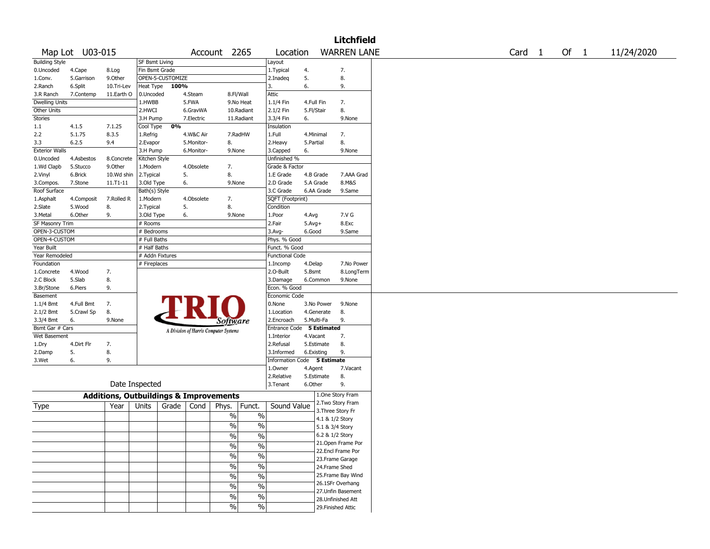|                       |                 |                                                   |                       |                  |            |                                       |                          |                             |            |                    | <b>Litchfield</b>                         |  |  |                   |      |            |
|-----------------------|-----------------|---------------------------------------------------|-----------------------|------------------|------------|---------------------------------------|--------------------------|-----------------------------|------------|--------------------|-------------------------------------------|--|--|-------------------|------|------------|
|                       | Map Lot U03-015 |                                                   |                       |                  |            | Account 2265                          |                          | Location                    |            |                    | <b>WARREN LANE</b>                        |  |  | Card <sub>1</sub> | Of 1 | 11/24/2020 |
| <b>Building Style</b> |                 |                                                   | <b>SF Bsmt Living</b> |                  |            |                                       |                          | Layout                      |            |                    |                                           |  |  |                   |      |            |
| 0.Uncoded             | 4.Cape          | 8.Log                                             | Fin Bsmt Grade        |                  |            |                                       |                          | 1.Typical                   | 4.         |                    | 7.                                        |  |  |                   |      |            |
| 1.Conv.               | 5.Garrison      | 9.0ther                                           |                       | OPEN-5-CUSTOMIZE |            |                                       |                          | 2.Inadeq                    | 5.         |                    | 8.                                        |  |  |                   |      |            |
| 2.Ranch               | 6.Split         | 10.Tri-Lev                                        | Heat Type             | 100%             |            |                                       |                          | 3.                          | 6.         |                    | 9.                                        |  |  |                   |      |            |
| 3.R Ranch             | 7.Contemp       | 11.Earth O                                        | 0.Uncoded             |                  | 4.Steam    |                                       | 8.Fl/Wall                | <b>Attic</b>                |            |                    |                                           |  |  |                   |      |            |
| <b>Dwelling Units</b> |                 |                                                   | 1.HWBB                |                  | 5.FWA      |                                       | 9.No Heat                | 1.1/4 Fin                   | 4.Full Fin |                    | 7.                                        |  |  |                   |      |            |
| Other Units           |                 |                                                   | 2.HWCI                |                  | 6.GravWA   |                                       | 10.Radiant               | 2.1/2 Fin                   | 5.Fl/Stair |                    | 8.                                        |  |  |                   |      |            |
| Stories               |                 |                                                   | 3.H Pump              |                  | 7.Electric |                                       | 11.Radiant               | 3.3/4 Fin                   | 6.         |                    | 9.None                                    |  |  |                   |      |            |
| 1.1                   | 4.1.5           | 7.1.25                                            | Cool Type             | 0%               |            |                                       |                          | Insulation                  |            |                    |                                           |  |  |                   |      |            |
| 2.2                   | 5.1.75          | 8.3.5                                             | 1.Refrig              |                  | 4.W&C Air  |                                       | 7.RadHW                  | 1.Full                      | 4.Minimal  |                    | 7.                                        |  |  |                   |      |            |
| 3.3                   | 6.2.5           | 9.4                                               | 2.Evapor              |                  | 5.Monitor- | 8.                                    |                          | 2. Heavy                    | 5.Partial  |                    | 8.                                        |  |  |                   |      |            |
| <b>Exterior Walls</b> |                 |                                                   | 3.H Pump              |                  | 6.Monitor- | 9.None                                |                          | 3.Capped                    | 6.         |                    | 9.None                                    |  |  |                   |      |            |
| 0.Uncoded             | 4.Asbestos      | 8.Concrete                                        | Kitchen Style         |                  |            |                                       |                          | Unfinished %                |            |                    |                                           |  |  |                   |      |            |
| 1.Wd Clapb            | 5.Stucco        | 9.Other                                           | 1.Modern              |                  | 4.Obsolete | 7.                                    |                          | Grade & Factor              |            |                    |                                           |  |  |                   |      |            |
| 2.Vinyl               | 6.Brick         | 10.Wd shin                                        | 2.Typical             |                  | 5.         | 8.                                    |                          | 1.E Grade                   | 4.B Grade  |                    | 7.AAA Grad                                |  |  |                   |      |            |
| 3.Compos.             | 7.Stone         | 11.T1-11                                          | 3.Old Type            |                  | 6.         | 9.None                                |                          | 2.D Grade                   | 5.A Grade  |                    | 8.M&S                                     |  |  |                   |      |            |
| Roof Surface          |                 |                                                   | Bath(s) Style         |                  |            |                                       |                          | 3.C Grade                   |            | 6.AA Grade         | 9.Same                                    |  |  |                   |      |            |
| 1.Asphalt             | 4.Composit      | 7.Rolled R                                        | 1.Modern              |                  | 4.Obsolete | 7.                                    |                          | SQFT (Footprint)            |            |                    |                                           |  |  |                   |      |            |
| 2.Slate               | 5.Wood          | 8.                                                | 2. Typical            |                  | 5.         | 8.                                    |                          | Condition                   |            |                    |                                           |  |  |                   |      |            |
| 3.Metal               | 6.Other         | 9.                                                | 3.Old Type            |                  | 6.         | 9.None                                |                          | 1.Poor                      | 4.Avg      |                    | 7.V G                                     |  |  |                   |      |            |
| SF Masonry Trim       |                 |                                                   | # Rooms               |                  |            |                                       |                          | 2.Fair                      | $5.Avg+$   |                    | 8.Exc                                     |  |  |                   |      |            |
| OPEN-3-CUSTOM         |                 |                                                   | # Bedrooms            |                  |            |                                       |                          | $3.$ Avg-                   | 6.Good     |                    | 9.Same                                    |  |  |                   |      |            |
| OPEN-4-CUSTOM         |                 |                                                   |                       |                  |            |                                       |                          |                             |            |                    |                                           |  |  |                   |      |            |
|                       |                 |                                                   | # Full Baths          |                  |            |                                       |                          | Phys. % Good                |            |                    |                                           |  |  |                   |      |            |
| Year Built            |                 |                                                   | # Half Baths          |                  |            |                                       |                          | Funct. % Good               |            |                    |                                           |  |  |                   |      |            |
| Year Remodeled        |                 |                                                   | # Addn Fixtures       |                  |            |                                       |                          | <b>Functional Code</b>      |            |                    |                                           |  |  |                   |      |            |
| Foundation            |                 |                                                   | # Fireplaces          |                  |            |                                       |                          | 1.Incomp                    | 4.Delap    |                    | 7.No Power                                |  |  |                   |      |            |
| 1.Concrete            | 4.Wood          | 7.                                                |                       |                  |            |                                       |                          | 2.O-Built                   | 5.Bsmt     |                    | 8.LongTerm                                |  |  |                   |      |            |
| 2.C Block             | 5.Slab          | 8.                                                |                       |                  |            |                                       |                          | 3.Damage                    |            | 6.Common           | 9.None                                    |  |  |                   |      |            |
| 3.Br/Stone            | 6.Piers         | 9.                                                |                       |                  |            |                                       |                          | Econ. % Good                |            |                    |                                           |  |  |                   |      |            |
| Basement              |                 |                                                   |                       |                  |            |                                       |                          | Economic Code               |            |                    |                                           |  |  |                   |      |            |
| $1.1/4$ Bmt           | 4.Full Bmt      | 7.                                                |                       |                  |            |                                       |                          | 0.None                      |            | 3.No Power         | 9.None                                    |  |  |                   |      |            |
| 2.1/2 Bmt             | 5.Crawl Sp      | 8.                                                |                       |                  |            |                                       |                          | 1.Location                  |            | 4.Generate         | 8.                                        |  |  |                   |      |            |
| 3.3/4 Bmt             | 6.              | 9.None                                            |                       |                  |            | <i>Software</i>                       |                          | 2.Encroach                  | 5.Multi-Fa |                    | 9.                                        |  |  |                   |      |            |
| Bsmt Gar # Cars       |                 |                                                   |                       |                  |            | A Division of Harris Computer Systems |                          | <b>Entrance Code</b>        |            | <b>5 Estimated</b> |                                           |  |  |                   |      |            |
| Wet Basement          |                 |                                                   |                       |                  |            |                                       |                          | 1.Interior                  | 4.Vacant   |                    | 7.                                        |  |  |                   |      |            |
| 1.Dry                 | 4.Dirt Flr      | 7.                                                |                       |                  |            |                                       |                          | 2.Refusal                   |            | 5.Estimate         | 8.                                        |  |  |                   |      |            |
| 2.Damp                | 5.              | 8.                                                |                       |                  |            |                                       |                          | 3.Informed                  | 6.Existing |                    | 9.                                        |  |  |                   |      |            |
| 3.Wet                 | 6.              | 9.                                                |                       |                  |            |                                       |                          | Information Code 5 Estimate |            |                    |                                           |  |  |                   |      |            |
|                       |                 |                                                   |                       |                  |            |                                       |                          | 1.Owner                     | 4.Agent    |                    | 7.Vacant                                  |  |  |                   |      |            |
|                       |                 |                                                   |                       |                  |            |                                       |                          | 2.Relative                  |            | 5.Estimate         | 8.                                        |  |  |                   |      |            |
|                       |                 | Date Inspected                                    |                       |                  |            |                                       |                          | 3.Tenant                    | 6.Other    |                    | 9.                                        |  |  |                   |      |            |
|                       |                 |                                                   |                       |                  |            |                                       |                          |                             |            |                    | 1.One Story Fram                          |  |  |                   |      |            |
|                       |                 | <b>Additions, Outbuildings &amp; Improvements</b> |                       |                  |            |                                       |                          |                             |            |                    | 2. Two Story Fram                         |  |  |                   |      |            |
| Type                  |                 | Year                                              | Units                 | Grade            | Cond       | Phys.                                 | Funct.                   | Sound Value                 |            |                    | 3. Three Story Fr                         |  |  |                   |      |            |
|                       |                 |                                                   |                       |                  |            | $\%$                                  | $\%$                     |                             |            |                    | 4.1 & 1/2 Story                           |  |  |                   |      |            |
|                       |                 |                                                   |                       |                  |            | $\sqrt{6}$                            | $\%$                     |                             |            |                    | 5.1 & 3/4 Story                           |  |  |                   |      |            |
|                       |                 |                                                   |                       |                  |            |                                       |                          |                             |            |                    |                                           |  |  |                   |      |            |
|                       |                 |                                                   |                       |                  |            | %                                     | %                        |                             |            |                    | $6.2$ & $1/2$ Story<br>21. Open Frame Por |  |  |                   |      |            |
|                       |                 |                                                   |                       |                  |            | $\frac{1}{2}$                         | $\overline{\frac{0}{0}}$ |                             |            |                    | 22.Encl Frame Por                         |  |  |                   |      |            |
|                       |                 |                                                   |                       |                  |            | $\sqrt{6}$                            | $\overline{\frac{0}{6}}$ |                             |            |                    |                                           |  |  |                   |      |            |
|                       |                 |                                                   |                       |                  |            |                                       |                          |                             |            |                    | 23. Frame Garage                          |  |  |                   |      |            |
|                       |                 |                                                   |                       |                  |            | $\sqrt{6}$                            | $\frac{0}{6}$            |                             |            |                    | 24.Frame Shed                             |  |  |                   |      |            |
|                       |                 |                                                   |                       |                  |            | $\sqrt{6}$                            | $\overline{\frac{0}{0}}$ |                             |            |                    | 25. Frame Bay Wind                        |  |  |                   |      |            |
|                       |                 |                                                   |                       |                  |            | $\sqrt{6}$                            | $\overline{\frac{0}{0}}$ |                             |            |                    | 26.1SFr Overhang                          |  |  |                   |      |            |
|                       |                 |                                                   |                       |                  |            |                                       |                          |                             |            |                    | 27. Unfin Basement                        |  |  |                   |      |            |
|                       |                 |                                                   |                       |                  |            | $\%$                                  | $\%$                     |                             |            |                    | 28. Unfinished Att                        |  |  |                   |      |            |
|                       |                 |                                                   |                       |                  |            | $\sqrt{6}$                            | $\%$                     |                             |            |                    | 29. Finished Attic                        |  |  |                   |      |            |
|                       |                 |                                                   |                       |                  |            |                                       |                          |                             |            |                    |                                           |  |  |                   |      |            |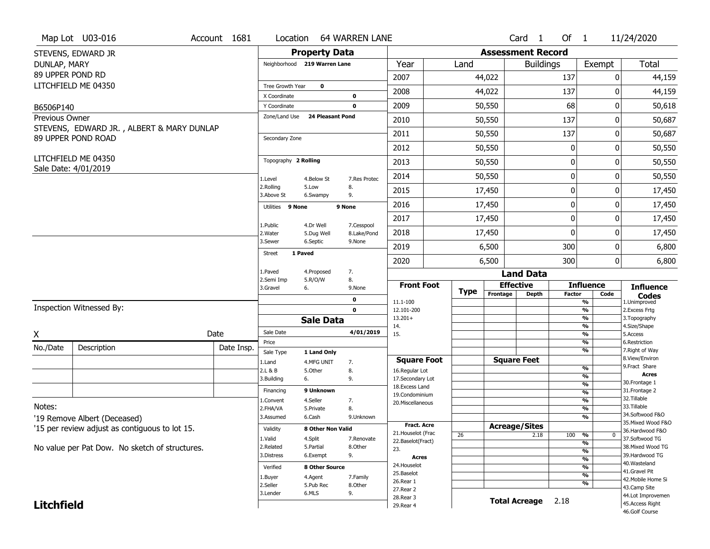|                       | Map Lot U03-016                                | Account 1681 | Location                      |                           | <b>64 WARREN LANE</b> |                                    |             |                          | Card <sub>1</sub> | Of 1             |                                           | 11/24/2020                        |
|-----------------------|------------------------------------------------|--------------|-------------------------------|---------------------------|-----------------------|------------------------------------|-------------|--------------------------|-------------------|------------------|-------------------------------------------|-----------------------------------|
|                       | STEVENS, EDWARD JR                             |              |                               | <b>Property Data</b>      |                       |                                    |             | <b>Assessment Record</b> |                   |                  |                                           |                                   |
| DUNLAP, MARY          |                                                |              | Neighborhood 219 Warren Lane  |                           |                       | Year                               | Land        |                          | <b>Buildings</b>  |                  | Exempt                                    | Total                             |
| 89 UPPER POND RD      |                                                |              |                               |                           |                       | 2007                               |             | 44,022                   |                   | 137              | 0                                         | 44,159                            |
|                       | LITCHFIELD ME 04350                            |              | Tree Growth Year              | $\mathbf 0$               |                       | 2008                               |             | 44,022                   |                   | 137              | ŋ                                         | 44,159                            |
|                       |                                                |              | X Coordinate                  |                           | 0                     |                                    |             |                          |                   |                  |                                           |                                   |
| B6506P140             |                                                |              | Y Coordinate<br>Zone/Land Use | <b>24 Pleasant Pond</b>   | $\mathbf 0$           | 2009                               |             | 50,550                   |                   | 68               | 0                                         | 50,618                            |
| <b>Previous Owner</b> | STEVENS, EDWARD JR., ALBERT & MARY DUNLAP      |              |                               |                           |                       | 2010                               |             | 50,550                   |                   | 137              | 0                                         | 50,687                            |
|                       | 89 UPPER POND ROAD                             |              | Secondary Zone                |                           |                       | 2011                               |             | 50,550                   |                   | 137              | 0                                         | 50,687                            |
|                       |                                                |              |                               |                           |                       | 2012                               |             | 50,550                   |                   | 0                | 0                                         | 50,550                            |
|                       | LITCHFIELD ME 04350<br>Sale Date: 4/01/2019    |              | Topography 2 Rolling          |                           |                       | 2013                               |             | 50,550                   |                   | $\boldsymbol{0}$ | 0                                         | 50,550                            |
|                       |                                                |              | 1.Level                       | 4.Below St                | 7.Res Protec          | 2014                               |             | 50,550                   |                   | $\boldsymbol{0}$ | 0                                         | 50,550                            |
|                       |                                                |              | 2.Rolling<br>3.Above St       | 5.Low<br>6.Swampy         | 8.<br>9.              | 2015                               |             | 17,450                   |                   | 0                | 0                                         | 17,450                            |
|                       |                                                |              | Utilities 9 None              |                           | 9 None                | 2016                               |             | 17,450                   |                   | $\mathbf 0$      | 0                                         | 17,450                            |
|                       |                                                |              | 1.Public                      | 4.Dr Well                 | 7.Cesspool            | 2017                               |             | 17,450                   |                   | $\mathbf 0$      | 0                                         | 17,450                            |
|                       |                                                |              | 2. Water                      | 5.Dug Well                | 8.Lake/Pond           | 2018                               |             | 17,450                   |                   | $\mathbf 0$      | 0                                         | 17,450                            |
|                       |                                                |              | 3.Sewer                       | 6.Septic                  | 9.None                | 2019                               |             | 6,500                    |                   | 300              | 0                                         | 6,800                             |
|                       |                                                |              | 1 Paved<br><b>Street</b>      |                           |                       | 2020                               |             | 6,500                    |                   | 300              | 0                                         | 6,800                             |
|                       |                                                |              | 1.Paved                       | 4.Proposed                | 7.                    |                                    |             |                          | <b>Land Data</b>  |                  |                                           |                                   |
|                       |                                                |              | 2.Semi Imp<br>3.Gravel        | 5.R/O/W<br>6.             | 8.<br>9.None          | <b>Front Foot</b>                  |             | <b>Effective</b>         |                   |                  | <b>Influence</b>                          | <b>Influence</b>                  |
|                       |                                                |              |                               |                           | 0                     | 11.1-100                           | <b>Type</b> | Frontage                 | <b>Depth</b>      | Factor           | Code<br>$\overline{\frac{9}{6}}$          | <b>Codes</b><br>1.Unimproved      |
|                       | Inspection Witnessed By:                       |              |                               |                           | $\mathbf 0$           | 12.101-200                         |             |                          |                   |                  | $\frac{9}{6}$                             | 2.Excess Frtg                     |
|                       |                                                |              |                               | <b>Sale Data</b>          |                       | $13.201+$<br>14.                   |             |                          |                   |                  | $\frac{9}{6}$<br>$\frac{9}{6}$            | 3. Topography<br>4.Size/Shape     |
| X                     |                                                | Date         | Sale Date                     |                           | 4/01/2019             | 15.                                |             |                          |                   |                  | $\frac{9}{6}$                             | 5.Access                          |
| No./Date              | Description                                    | Date Insp.   | Price                         |                           |                       |                                    |             |                          |                   |                  | $\frac{9}{6}$<br>$\overline{\frac{9}{6}}$ | 6.Restriction<br>7. Right of Way  |
|                       |                                                |              | Sale Type<br>1.Land           | 1 Land Only<br>4.MFG UNIT | 7.                    | <b>Square Foot</b>                 |             | <b>Square Feet</b>       |                   |                  |                                           | 8.View/Environ                    |
|                       |                                                |              | 2.L & B                       | 5.Other                   | 8.                    | 16.Regular Lot                     |             |                          |                   |                  | $\frac{9}{6}$                             | 9.Fract Share<br><b>Acres</b>     |
|                       |                                                |              | 3.Building                    | 6.                        | 9.                    | 17.Secondary Lot<br>18.Excess Land |             |                          |                   |                  | %<br>%                                    | 30. Frontage 1                    |
|                       |                                                |              | Financing                     | 9 Unknown                 |                       | 19.Condominium                     |             |                          |                   |                  | %                                         | 31. Frontage 2                    |
|                       |                                                |              | 1.Convent                     | 4.Seller                  | 7.                    | 20.Miscellaneous                   |             |                          |                   |                  | %                                         | 32. Tillable<br>33.Tillable       |
| Notes:                |                                                |              | 2.FHA/VA                      | 5.Private                 | 8.                    |                                    |             |                          |                   |                  | %                                         | 34.Softwood F&O                   |
|                       | '19 Remove Albert (Deceased)                   |              | 3.Assumed                     | 6.Cash                    | 9.Unknown             | <b>Fract. Acre</b>                 |             |                          |                   |                  | %                                         | 35. Mixed Wood F&O                |
|                       | '15 per review adjust as contiguous to lot 15. |              | Validity                      | 8 Other Non Valid         |                       | 21. Houselot (Frac                 |             | <b>Acreage/Sites</b>     |                   |                  |                                           | 36.Hardwood F&O                   |
|                       |                                                |              | 1.Valid                       | 4.Split                   | 7.Renovate            | 22.Baselot(Fract)                  | 26          |                          | 2.18              | 100              | %<br>$\bf{0}$<br>%                        | 37.Softwood TG                    |
|                       | No value per Pat Dow. No sketch of structures. |              | 2.Related                     | 5.Partial                 | 8.Other               | 23.                                |             |                          |                   |                  | %                                         | 38. Mixed Wood TG                 |
|                       |                                                |              | 3.Distress                    | 6.Exempt                  | 9.                    | Acres                              |             |                          |                   |                  | %                                         | 39.Hardwood TG                    |
|                       |                                                |              | Verified                      | 8 Other Source            |                       | 24. Houselot                       |             |                          |                   |                  | %                                         | 40. Wasteland<br>41.Gravel Pit    |
|                       |                                                |              | 1.Buyer                       | 4.Agent                   | 7.Family              | 25.Baselot                         |             |                          |                   |                  | %                                         | 42. Mobile Home Si                |
|                       |                                                |              | 2.Seller                      | 5.Pub Rec                 | 8.Other               | 26.Rear 1                          |             |                          |                   |                  | %                                         | 43.Camp Site                      |
|                       |                                                |              |                               |                           |                       |                                    |             |                          |                   |                  |                                           |                                   |
|                       |                                                |              | 3.Lender                      | 6.MLS                     | 9.                    | 27.Rear 2<br>28. Rear 3            |             |                          |                   |                  |                                           | 44.Lot Improvemen                 |
| <b>Litchfield</b>     |                                                |              |                               |                           |                       | 29. Rear 4                         |             | <b>Total Acreage</b>     |                   | 2.18             |                                           | 45.Access Right<br>46.Golf Course |